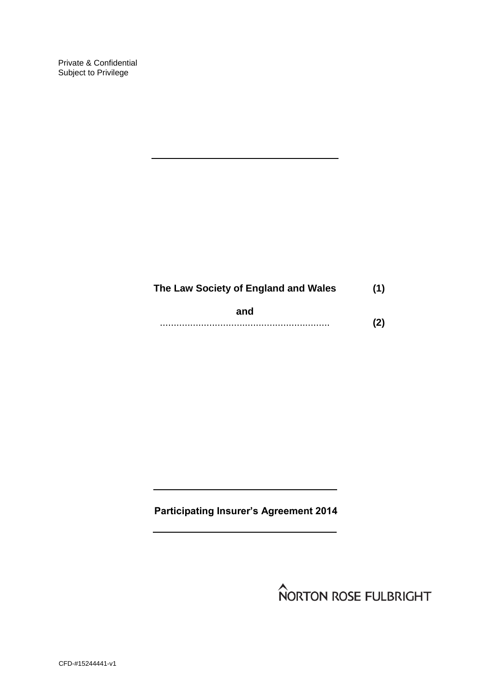Private & Confidential Subject to Privilege

# **The Law Society of England and Wales (1)**

**and** .............................................................. **(2)**

**Participating Insurer's Agreement 2014**

NORTON ROSE FULBRIGHT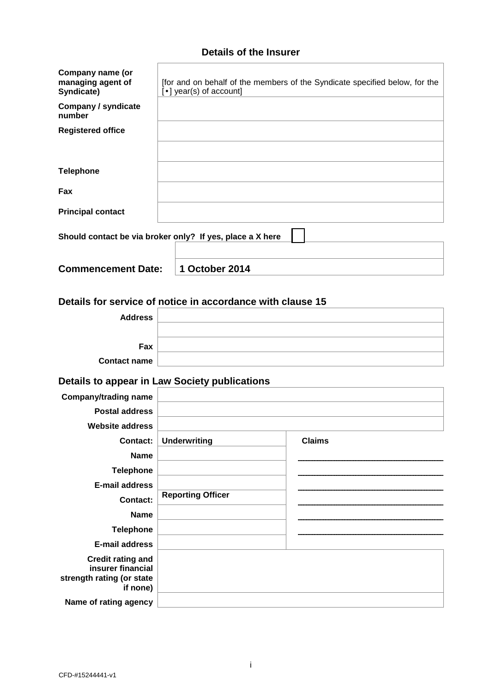### **Details of the Insurer**

٦

 $\sqrt{ }$ 

<span id="page-1-0"></span>

| Company name (or<br>managing agent of<br>Syndicate) | [•] year(s) of account]                                    | [for and on behalf of the members of the Syndicate specified below, for the |
|-----------------------------------------------------|------------------------------------------------------------|-----------------------------------------------------------------------------|
| <b>Company / syndicate</b><br>number                |                                                            |                                                                             |
| <b>Registered office</b>                            |                                                            |                                                                             |
|                                                     |                                                            |                                                                             |
| <b>Telephone</b>                                    |                                                            |                                                                             |
| Fax                                                 |                                                            |                                                                             |
| <b>Principal contact</b>                            |                                                            |                                                                             |
|                                                     | Should contact be via broker only? If yes, place a X here  |                                                                             |
|                                                     |                                                            |                                                                             |
| <b>Commencement Date:</b>                           | 1 October 2014                                             |                                                                             |
|                                                     |                                                            |                                                                             |
|                                                     | Details for service of notice in accordance with clause 15 |                                                                             |
| <b>Address</b>                                      |                                                            |                                                                             |
|                                                     |                                                            |                                                                             |
| Fax<br><b>Contact name</b>                          |                                                            |                                                                             |
|                                                     |                                                            |                                                                             |
|                                                     | Details to appear in Law Society publications              |                                                                             |
| <b>Company/trading name</b>                         |                                                            |                                                                             |
| <b>Postal address</b><br><b>Website address</b>     |                                                            |                                                                             |
| <b>Contact:</b>                                     | <b>Underwriting</b>                                        | <b>Claims</b>                                                               |
| <b>Name</b>                                         |                                                            |                                                                             |
| <b>Telephone</b>                                    |                                                            |                                                                             |
| <b>E-mail address</b>                               |                                                            |                                                                             |
| <b>Contact:</b>                                     | <b>Reporting Officer</b>                                   |                                                                             |
| <b>Name</b>                                         |                                                            |                                                                             |
| <b>Telephone</b>                                    |                                                            |                                                                             |
| <b>E-mail address</b>                               |                                                            |                                                                             |
| <b>Credit rating and</b><br>insurer financial       |                                                            |                                                                             |
| strength rating (or state<br>if none)               |                                                            |                                                                             |
| Name of rating agency                               |                                                            |                                                                             |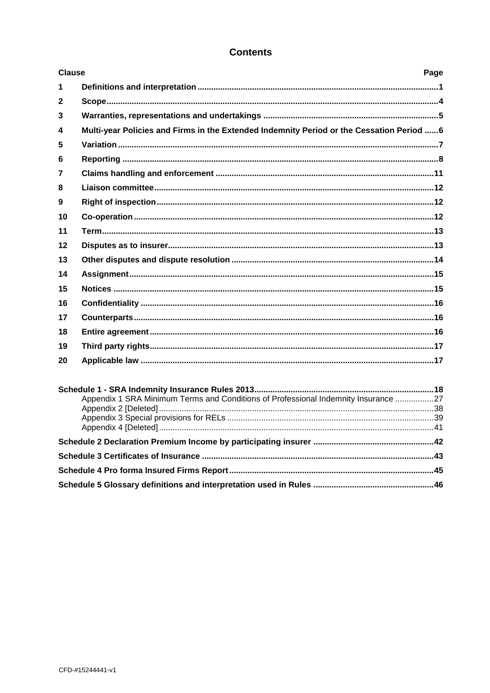### **Contents**

| <b>Clause</b>  |                                                                                           | Page |
|----------------|-------------------------------------------------------------------------------------------|------|
| $\mathbf 1$    |                                                                                           |      |
| $\mathbf{2}$   |                                                                                           |      |
| 3              |                                                                                           |      |
| 4              | Multi-year Policies and Firms in the Extended Indemnity Period or the Cessation Period  6 |      |
| 5              |                                                                                           |      |
| $6\phantom{1}$ |                                                                                           |      |
| 7              |                                                                                           |      |
| 8              |                                                                                           |      |
| 9              |                                                                                           |      |
| 10             |                                                                                           |      |
| 11             |                                                                                           |      |
| 12             |                                                                                           |      |
| 13             |                                                                                           |      |
| 14             |                                                                                           |      |
| 15             |                                                                                           |      |
| 16             |                                                                                           |      |
| 17             |                                                                                           |      |
| 18             |                                                                                           |      |
| 19             |                                                                                           |      |
| 20             |                                                                                           |      |
|                |                                                                                           |      |
|                | Appendix 1 SRA Minimum Terms and Conditions of Professional Indemnity Insurance 27        |      |
|                |                                                                                           |      |
|                |                                                                                           |      |
|                |                                                                                           |      |
|                |                                                                                           |      |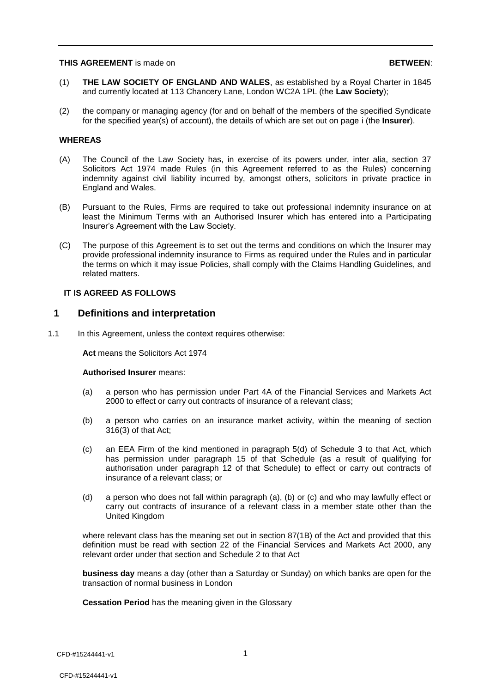#### **THIS AGREEMENT** is made on **BETWEEN:**

- (1) **THE LAW SOCIETY OF ENGLAND AND WALES**, as established by a Royal Charter in 1845 and currently located at 113 Chancery Lane, London WC2A 1PL (the **Law Society**);
- (2) the company or managing agency (for and on behalf of the members of the specified Syndicate for the specified year(s) of account), the details of which are set out on page [i](#page-1-0) (the **Insurer**).

#### **WHEREAS**

- (A) The Council of the Law Society has, in exercise of its powers under, inter alia, section 37 Solicitors Act 1974 made Rules (in this Agreement referred to as the Rules) concerning indemnity against civil liability incurred by, amongst others, solicitors in private practice in England and Wales.
- (B) Pursuant to the Rules, Firms are required to take out professional indemnity insurance on at least the Minimum Terms with an Authorised Insurer which has entered into a Participating Insurer"s Agreement with the Law Society.
- (C) The purpose of this Agreement is to set out the terms and conditions on which the Insurer may provide professional indemnity insurance to Firms as required under the Rules and in particular the terms on which it may issue Policies, shall comply with the Claims Handling Guidelines, and related matters.

#### **IT IS AGREED AS FOLLOWS**

### **1 Definitions and interpretation**

1.1 In this Agreement, unless the context requires otherwise:

**Act** means the Solicitors Act 1974

#### **Authorised Insurer** means:

- (a) a person who has permission under Part 4A of the Financial Services and Markets Act 2000 to effect or carry out contracts of insurance of a relevant class;
- (b) a person who carries on an insurance market activity, within the meaning of section 316(3) of that Act;
- (c) an EEA Firm of the kind mentioned in paragraph 5(d) of Schedule 3 to that Act, which has permission under paragraph 15 of that Schedule (as a result of qualifying for authorisation under paragraph 12 of that Schedule) to effect or carry out contracts of insurance of a relevant class; or
- (d) a person who does not fall within paragraph (a), (b) or (c) and who may lawfully effect or carry out contracts of insurance of a relevant class in a member state other than the United Kingdom

where relevant class has the meaning set out in section 87(1B) of the Act and provided that this definition must be read with section 22 of the Financial Services and Markets Act 2000, any relevant order under that section and Schedule 2 to that Act

**business day** means a day (other than a Saturday or Sunday) on which banks are open for the transaction of normal business in London

**Cessation Period** has the meaning given in the Glossary

CFD-#15244441-v1 1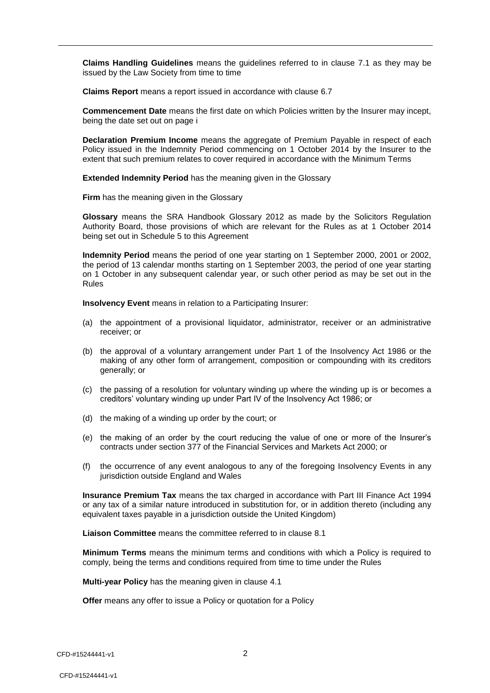**Claims Handling Guidelines** means the guidelines referred to in clause [7.1](#page-13-0) as they may be issued by the Law Society from time to time

**Claims Report** means a report issued in accordance with clause [6.7](#page-11-0)

**Commencement Date** means the first date on which Policies written by the Insurer may incept, being the date set out on page [i](#page-1-0)

**Declaration Premium Income** means the aggregate of Premium Payable in respect of each Policy issued in the Indemnity Period commencing on 1 October 2014 by the Insurer to the extent that such premium relates to cover required in accordance with the Minimum Terms

**Extended Indemnity Period** has the meaning given in the Glossary

**Firm** has the meaning given in the Glossary

**Glossary** means the SRA Handbook Glossary 2012 as made by the Solicitors Regulation Authority Board, those provisions of which are relevant for the Rules as at 1 October 2014 being set out in [Schedule](#page-48-0) 5 to this Agreement

**Indemnity Period** means the period of one year starting on 1 September 2000, 2001 or 2002, the period of 13 calendar months starting on 1 September 2003, the period of one year starting on 1 October in any subsequent calendar year, or such other period as may be set out in the Rules

**Insolvency Event** means in relation to a Participating Insurer:

- (a) the appointment of a provisional liquidator, administrator, receiver or an administrative receiver; or
- (b) the approval of a voluntary arrangement under Part 1 of the Insolvency Act 1986 or the making of any other form of arrangement, composition or compounding with its creditors generally; or
- (c) the passing of a resolution for voluntary winding up where the winding up is or becomes a creditors" voluntary winding up under Part IV of the Insolvency Act 1986; or
- (d) the making of a winding up order by the court; or
- (e) the making of an order by the court reducing the value of one or more of the Insurer"s contracts under section 377 of the Financial Services and Markets Act 2000; or
- (f) the occurrence of any event analogous to any of the foregoing Insolvency Events in any jurisdiction outside England and Wales

**Insurance Premium Tax** means the tax charged in accordance with Part III Finance Act 1994 or any tax of a similar nature introduced in substitution for, or in addition thereto (including any equivalent taxes payable in a jurisdiction outside the United Kingdom)

**Liaison Committee** means the committee referred to in clause [8.1](#page-14-0)

**Minimum Terms** means the minimum terms and conditions with which a Policy is required to comply, being the terms and conditions required from time to time under the Rules

**Multi-year Policy** has the meaning given in clause [4.1](#page-8-0)

**Offer** means any offer to issue a Policy or quotation for a Policy

CFD-#15244441-v1 2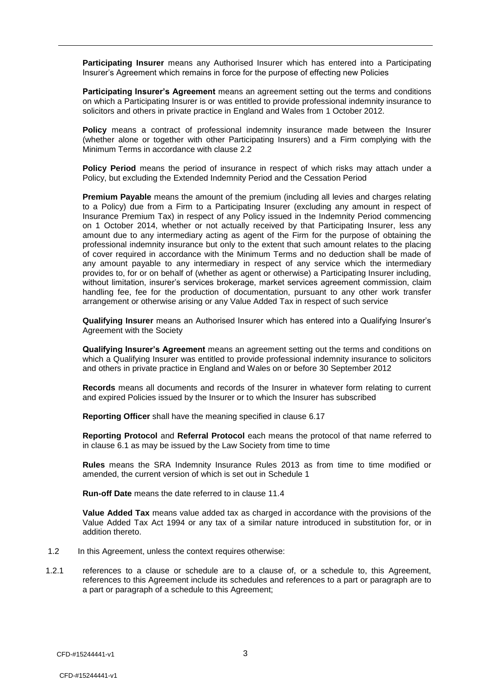**Participating Insurer** means any Authorised Insurer which has entered into a Participating Insurer"s Agreement which remains in force for the purpose of effecting new Policies

**Participating Insurer's Agreement** means an agreement setting out the terms and conditions on which a Participating Insurer is or was entitled to provide professional indemnity insurance to solicitors and others in private practice in England and Wales from 1 October 2012.

**Policy** means a contract of professional indemnity insurance made between the Insurer (whether alone or together with other Participating Insurers) and a Firm complying with the Minimum Terms in accordance with clause [2.2](#page-6-0)

**Policy Period** means the period of insurance in respect of which risks may attach under a Policy, but excluding the Extended Indemnity Period and the Cessation Period

**Premium Payable** means the amount of the premium (including all levies and charges relating to a Policy) due from a Firm to a Participating Insurer (excluding any amount in respect of Insurance Premium Tax) in respect of any Policy issued in the Indemnity Period commencing on 1 October 2014, whether or not actually received by that Participating Insurer, less any amount due to any intermediary acting as agent of the Firm for the purpose of obtaining the professional indemnity insurance but only to the extent that such amount relates to the placing of cover required in accordance with the Minimum Terms and no deduction shall be made of any amount payable to any intermediary in respect of any service which the intermediary provides to, for or on behalf of (whether as agent or otherwise) a Participating Insurer including, without limitation, insurer"s services brokerage, market services agreement commission, claim handling fee, fee for the production of documentation, pursuant to any other work transfer arrangement or otherwise arising or any Value Added Tax in respect of such service

**Qualifying Insurer** means an Authorised Insurer which has entered into a Qualifying Insurer"s Agreement with the Society

**Qualifying Insurer's Agreement** means an agreement setting out the terms and conditions on which a Qualifying Insurer was entitled to provide professional indemnity insurance to solicitors and others in private practice in England and Wales on or before 30 September 2012

**Records** means all documents and records of the Insurer in whatever form relating to current and expired Policies issued by the Insurer or to which the Insurer has subscribed

**Reporting Officer** shall have the meaning specified in clause [6.17](#page-13-1)

**Reporting Protocol** and **Referral Protocol** each means the protocol of that name referred to in clause [6.1](#page-10-0) as may be issued by the Law Society from time to time

**Rules** means the SRA Indemnity Insurance Rules 2013 as from time to time modified or amended, the current version of which is set out in [Schedule](#page-20-0) 1

**Run-off Date** means the date referred to in clause [11.4](#page-15-0)

**Value Added Tax** means value added tax as charged in accordance with the provisions of the Value Added Tax Act 1994 or any tax of a similar nature introduced in substitution for, or in addition thereto.

- 1.2 In this Agreement, unless the context requires otherwise:
- 1.2.1 references to a clause or schedule are to a clause of, or a schedule to, this Agreement, references to this Agreement include its schedules and references to a part or paragraph are to a part or paragraph of a schedule to this Agreement;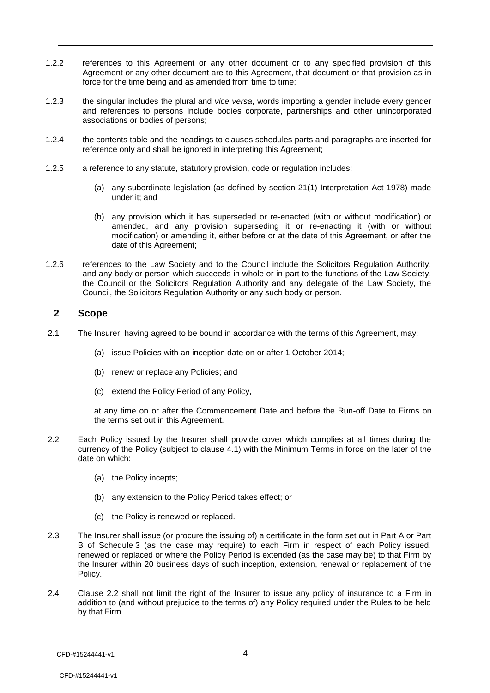- 1.2.2 references to this Agreement or any other document or to any specified provision of this Agreement or any other document are to this Agreement, that document or that provision as in force for the time being and as amended from time to time;
- 1.2.3 the singular includes the plural and *vice versa*, words importing a gender include every gender and references to persons include bodies corporate, partnerships and other unincorporated associations or bodies of persons;
- 1.2.4 the contents table and the headings to clauses schedules parts and paragraphs are inserted for reference only and shall be ignored in interpreting this Agreement:
- 1.2.5 a reference to any statute, statutory provision, code or regulation includes:
	- (a) any subordinate legislation (as defined by section 21(1) Interpretation Act 1978) made under it; and
	- (b) any provision which it has superseded or re-enacted (with or without modification) or amended, and any provision superseding it or re-enacting it (with or without modification) or amending it, either before or at the date of this Agreement, or after the date of this Agreement;
- 1.2.6 references to the Law Society and to the Council include the Solicitors Regulation Authority, and any body or person which succeeds in whole or in part to the functions of the Law Society, the Council or the Solicitors Regulation Authority and any delegate of the Law Society, the Council, the Solicitors Regulation Authority or any such body or person.

### **2 Scope**

- <span id="page-6-1"></span>2.1 The Insurer, having agreed to be bound in accordance with the terms of this Agreement, may:
	- (a) issue Policies with an inception date on or after 1 October 2014;
	- (b) renew or replace any Policies; and
	- (c) extend the Policy Period of any Policy,

at any time on or after the Commencement Date and before the Run-off Date to Firms on the terms set out in this Agreement.

- <span id="page-6-0"></span>2.2 Each Policy issued by the Insurer shall provide cover which complies at all times during the currency of the Policy (subject to clause [4.1\)](#page-8-0) with the Minimum Terms in force on the later of the date on which:
	- (a) the Policy incepts;
	- (b) any extension to the Policy Period takes effect; or
	- (c) the Policy is renewed or replaced.
- 2.3 The Insurer shall issue (or procure the issuing of) a certificate in the form set out in Part A or Part B of [Schedule](#page-45-0) 3 (as the case may require) to each Firm in respect of each Policy issued, renewed or replaced or where the Policy Period is extended (as the case may be) to that Firm by the Insurer within 20 business days of such inception, extension, renewal or replacement of the Policy.
- 2.4 Clause [2.2](#page-6-0) shall not limit the right of the Insurer to issue any policy of insurance to a Firm in addition to (and without prejudice to the terms of) any Policy required under the Rules to be held by that Firm.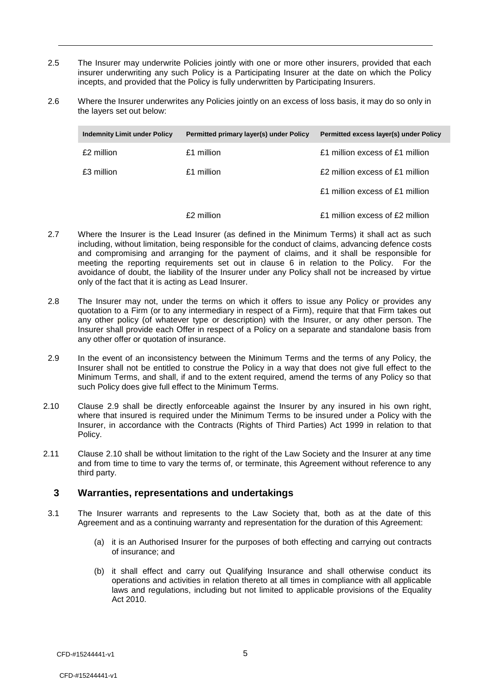- 2.5 The Insurer may underwrite Policies jointly with one or more other insurers, provided that each insurer underwriting any such Policy is a Participating Insurer at the date on which the Policy incepts, and provided that the Policy is fully underwritten by Participating Insurers.
- 2.6 Where the Insurer underwrites any Policies jointly on an excess of loss basis, it may do so only in the layers set out below:

| <b>Indemnity Limit under Policy</b> | Permitted primary layer(s) under Policy | Permitted excess layer(s) under Policy |
|-------------------------------------|-----------------------------------------|----------------------------------------|
| £2 million                          | £1 million                              | £1 million excess of £1 million        |
| £3 million                          | £1 million                              | £2 million excess of £1 million        |
|                                     |                                         | £1 million excess of £1 million        |
|                                     | £2 million                              | £1 million excess of £2 million        |

- 2.7 Where the Insurer is the Lead Insurer (as defined in the Minimum Terms) it shall act as such including, without limitation, being responsible for the conduct of claims, advancing defence costs and compromising and arranging for the payment of claims, and it shall be responsible for meeting the reporting requirements set out in clause [6](#page-10-1) in relation to the Policy. For the avoidance of doubt, the liability of the Insurer under any Policy shall not be increased by virtue only of the fact that it is acting as Lead Insurer.
- 2.8 The Insurer may not, under the terms on which it offers to issue any Policy or provides any quotation to a Firm (or to any intermediary in respect of a Firm), require that that Firm takes out any other policy (of whatever type or description) with the Insurer, or any other person. The Insurer shall provide each Offer in respect of a Policy on a separate and standalone basis from any other offer or quotation of insurance.
- <span id="page-7-0"></span>2.9 In the event of an inconsistency between the Minimum Terms and the terms of any Policy, the Insurer shall not be entitled to construe the Policy in a way that does not give full effect to the Minimum Terms, and shall, if and to the extent required, amend the terms of any Policy so that such Policy does give full effect to the Minimum Terms.
- <span id="page-7-1"></span>2.10 Clause [2.9](#page-7-0) shall be directly enforceable against the Insurer by any insured in his own right, where that insured is required under the Minimum Terms to be insured under a Policy with the Insurer, in accordance with the Contracts (Rights of Third Parties) Act 1999 in relation to that Policy.
- 2.11 Clause [2.10](#page-7-1) shall be without limitation to the right of the Law Society and the Insurer at any time and from time to time to vary the terms of, or terminate, this Agreement without reference to any third party.

### **3 Warranties, representations and undertakings**

- <span id="page-7-2"></span>3.1 The Insurer warrants and represents to the Law Society that, both as at the date of this Agreement and as a continuing warranty and representation for the duration of this Agreement:
	- (a) it is an Authorised Insurer for the purposes of both effecting and carrying out contracts of insurance; and
	- (b) it shall effect and carry out Qualifying Insurance and shall otherwise conduct its operations and activities in relation thereto at all times in compliance with all applicable laws and regulations, including but not limited to applicable provisions of the Equality Act 2010.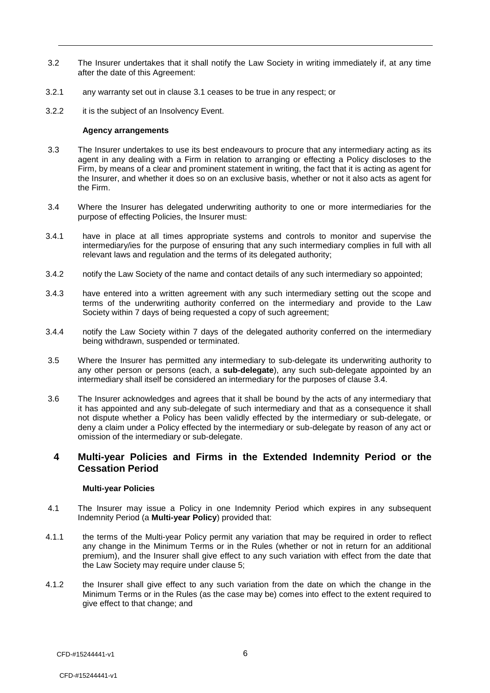- <span id="page-8-2"></span>3.2 The Insurer undertakes that it shall notify the Law Society in writing immediately if, at any time after the date of this Agreement:
- 3.2.1 any warranty set out in clause [3.1](#page-7-2) ceases to be true in any respect; or
- 3.2.2 it is the subject of an Insolvency Event.

#### **Agency arrangements**

- 3.3 The Insurer undertakes to use its best endeavours to procure that any intermediary acting as its agent in any dealing with a Firm in relation to arranging or effecting a Policy discloses to the Firm, by means of a clear and prominent statement in writing, the fact that it is acting as agent for the Insurer, and whether it does so on an exclusive basis, whether or not it also acts as agent for the Firm.
- <span id="page-8-1"></span>3.4 Where the Insurer has delegated underwriting authority to one or more intermediaries for the purpose of effecting Policies, the Insurer must:
- 3.4.1 have in place at all times appropriate systems and controls to monitor and supervise the intermediary/ies for the purpose of ensuring that any such intermediary complies in full with all relevant laws and regulation and the terms of its delegated authority;
- 3.4.2 notify the Law Society of the name and contact details of any such intermediary so appointed;
- 3.4.3 have entered into a written agreement with any such intermediary setting out the scope and terms of the underwriting authority conferred on the intermediary and provide to the Law Society within 7 days of being requested a copy of such agreement;
- 3.4.4 notify the Law Society within 7 days of the delegated authority conferred on the intermediary being withdrawn, suspended or terminated.
- 3.5 Where the Insurer has permitted any intermediary to sub-delegate its underwriting authority to any other person or persons (each, a **sub-delegate**), any such sub-delegate appointed by an intermediary shall itself be considered an intermediary for the purposes of clause [3.4.](#page-8-1)
- 3.6 The Insurer acknowledges and agrees that it shall be bound by the acts of any intermediary that it has appointed and any sub-delegate of such intermediary and that as a consequence it shall not dispute whether a Policy has been validly effected by the intermediary or sub-delegate, or deny a claim under a Policy effected by the intermediary or sub-delegate by reason of any act or omission of the intermediary or sub-delegate.

### **4 Multi-year Policies and Firms in the Extended Indemnity Period or the Cessation Period**

#### **Multi-year Policies**

- <span id="page-8-0"></span>4.1 The Insurer may issue a Policy in one Indemnity Period which expires in any subsequent Indemnity Period (a **Multi-year Policy**) provided that:
- 4.1.1 the terms of the Multi-year Policy permit any variation that may be required in order to reflect any change in the Minimum Terms or in the Rules (whether or not in return for an additional premium), and the Insurer shall give effect to any such variation with effect from the date that the Law Society may require under clause [5;](#page-9-0)
- 4.1.2 the Insurer shall give effect to any such variation from the date on which the change in the Minimum Terms or in the Rules (as the case may be) comes into effect to the extent required to give effect to that change; and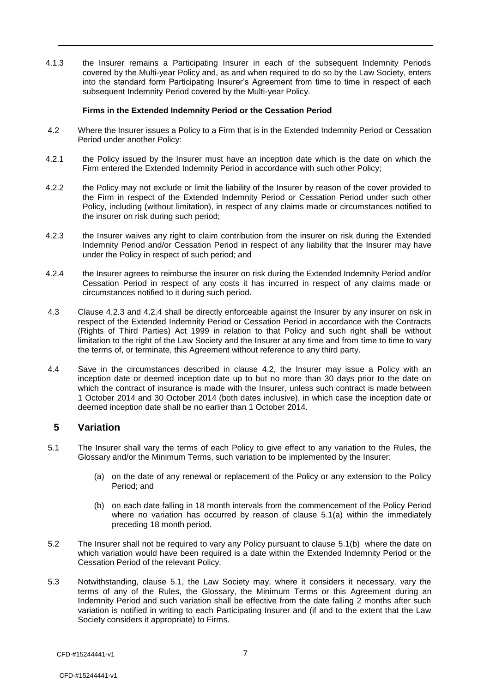4.1.3 the Insurer remains a Participating Insurer in each of the subsequent Indemnity Periods covered by the Multi-year Policy and, as and when required to do so by the Law Society, enters into the standard form Participating Insurer"s Agreement from time to time in respect of each subsequent Indemnity Period covered by the Multi-year Policy.

#### **Firms in the Extended Indemnity Period or the Cessation Period**

- <span id="page-9-3"></span>4.2 Where the Insurer issues a Policy to a Firm that is in the Extended Indemnity Period or Cessation Period under another Policy:
- 4.2.1 the Policy issued by the Insurer must have an inception date which is the date on which the Firm entered the Extended Indemnity Period in accordance with such other Policy;
- 4.2.2 the Policy may not exclude or limit the liability of the Insurer by reason of the cover provided to the Firm in respect of the Extended Indemnity Period or Cessation Period under such other Policy, including (without limitation), in respect of any claims made or circumstances notified to the insurer on risk during such period;
- <span id="page-9-1"></span>4.2.3 the Insurer waives any right to claim contribution from the insurer on risk during the Extended Indemnity Period and/or Cessation Period in respect of any liability that the Insurer may have under the Policy in respect of such period; and
- <span id="page-9-2"></span>4.2.4 the Insurer agrees to reimburse the insurer on risk during the Extended Indemnity Period and/or Cessation Period in respect of any costs it has incurred in respect of any claims made or circumstances notified to it during such period.
- <span id="page-9-7"></span>4.3 Clause [4.2.3](#page-9-1) and [4.2.4](#page-9-2) shall be directly enforceable against the Insurer by any insurer on risk in respect of the Extended Indemnity Period or Cessation Period in accordance with the Contracts (Rights of Third Parties) Act 1999 in relation to that Policy and such right shall be without limitation to the right of the Law Society and the Insurer at any time and from time to time to vary the terms of, or terminate, this Agreement without reference to any third party.
- 4.4 Save in the circumstances described in clause [4.2,](#page-9-3) the Insurer may issue a Policy with an inception date or deemed inception date up to but no more than 30 days prior to the date on which the contract of insurance is made with the Insurer, unless such contract is made between 1 October 2014 and 30 October 2014 (both dates inclusive), in which case the inception date or deemed inception date shall be no earlier than 1 October 2014.

#### <span id="page-9-0"></span>**5 Variation**

- <span id="page-9-6"></span><span id="page-9-4"></span>5.1 The Insurer shall vary the terms of each Policy to give effect to any variation to the Rules, the Glossary and/or the Minimum Terms, such variation to be implemented by the Insurer:
	- (a) on the date of any renewal or replacement of the Policy or any extension to the Policy Period; and
	- (b) on each date falling in 18 month intervals from the commencement of the Policy Period where no variation has occurred by reason of clause 5.[1\(a\)](#page-9-4) within the immediately preceding 18 month period.
- <span id="page-9-5"></span>5.2 The Insurer shall not be required to vary any Policy pursuant to clause [5.1\(b\)](#page-9-5) where the date on which variation would have been required is a date within the Extended Indemnity Period or the Cessation Period of the relevant Policy.
- 5.3 Notwithstanding, clause [5.1,](#page-9-6) the Law Society may, where it considers it necessary, vary the terms of any of the Rules, the Glossary, the Minimum Terms or this Agreement during an Indemnity Period and such variation shall be effective from the date falling 2 months after such variation is notified in writing to each Participating Insurer and (if and to the extent that the Law Society considers it appropriate) to Firms.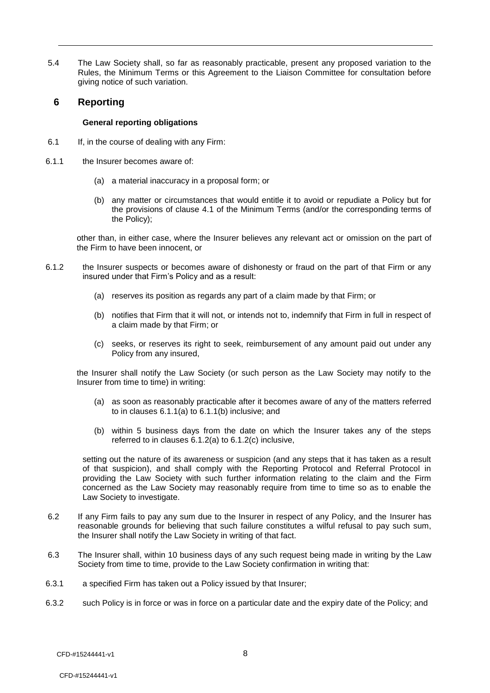5.4 The Law Society shall, so far as reasonably practicable, present any proposed variation to the Rules, the Minimum Terms or this Agreement to the Liaison Committee for consultation before giving notice of such variation.

### <span id="page-10-1"></span>**6 Reporting**

#### **General reporting obligations**

- <span id="page-10-0"></span>6.1 If, in the course of dealing with any Firm:
- <span id="page-10-3"></span><span id="page-10-2"></span>6.1.1 the Insurer becomes aware of:
	- (a) a material inaccuracy in a proposal form; or
	- (b) any matter or circumstances that would entitle it to avoid or repudiate a Policy but for the provisions of clause [4.1](#page-32-0) of the Minimum Terms (and/or the corresponding terms of the Policy);

other than, in either case, where the Insurer believes any relevant act or omission on the part of the Firm to have been innocent, or

- <span id="page-10-4"></span>6.1.2 the Insurer suspects or becomes aware of dishonesty or fraud on the part of that Firm or any insured under that Firm"s Policy and as a result:
	- (a) reserves its position as regards any part of a claim made by that Firm; or
	- (b) notifies that Firm that it will not, or intends not to, indemnify that Firm in full in respect of a claim made by that Firm; or
	- (c) seeks, or reserves its right to seek, reimbursement of any amount paid out under any Policy from any insured,

the Insurer shall notify the Law Society (or such person as the Law Society may notify to the Insurer from time to time) in writing:

- (a) as soon as reasonably practicable after it becomes aware of any of the matters referred to in clauses [6.1.1\(a\)](#page-10-2) to [6.1.1\(b\)](#page-10-3) inclusive; and
- (b) within 5 business days from the date on which the Insurer takes any of the steps referred to in clauses [6.1.2\(a\)](#page-10-4) to [6.1.2\(c\)](#page-10-4) inclusive,

setting out the nature of its awareness or suspicion (and any steps that it has taken as a result of that suspicion), and shall comply with the Reporting Protocol and Referral Protocol in providing the Law Society with such further information relating to the claim and the Firm concerned as the Law Society may reasonably require from time to time so as to enable the Law Society to investigate.

- 6.2 If any Firm fails to pay any sum due to the Insurer in respect of any Policy, and the Insurer has reasonable grounds for believing that such failure constitutes a wilful refusal to pay such sum, the Insurer shall notify the Law Society in writing of that fact.
- 6.3 The Insurer shall, within 10 business days of any such request being made in writing by the Law Society from time to time, provide to the Law Society confirmation in writing that:
- 6.3.1 a specified Firm has taken out a Policy issued by that Insurer;
- 6.3.2 such Policy is in force or was in force on a particular date and the expiry date of the Policy; and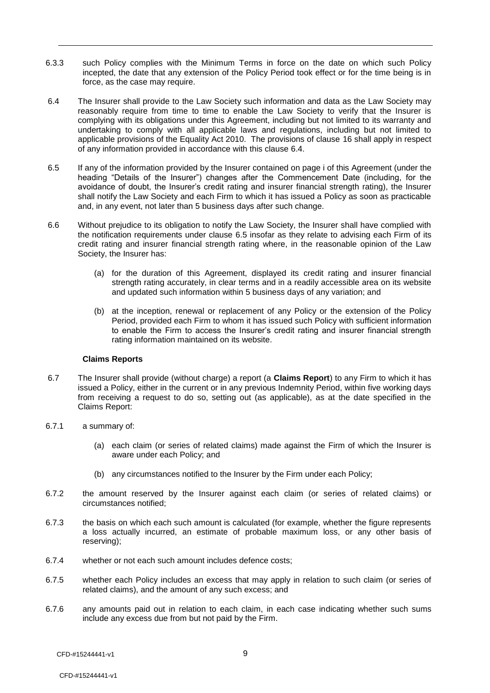- 6.3.3 such Policy complies with the Minimum Terms in force on the date on which such Policy incepted, the date that any extension of the Policy Period took effect or for the time being is in force, as the case may require.
- <span id="page-11-1"></span>6.4 The Insurer shall provide to the Law Society such information and data as the Law Society may reasonably require from time to time to enable the Law Society to verify that the Insurer is complying with its obligations under this Agreement, including but not limited to its warranty and undertaking to comply with all applicable laws and regulations, including but not limited to applicable provisions of the Equality Act 2010. The provisions of clause [16](#page-18-0) shall apply in respect of any information provided in accordance with this clause [6.4.](#page-11-1)
- <span id="page-11-2"></span>6.5 If any of the information provided by the Insurer contained on page [i](#page-1-0) of this Agreement (under the heading "Details of the Insurer") changes after the Commencement Date (including, for the avoidance of doubt, the Insurer"s credit rating and insurer financial strength rating), the Insurer shall notify the Law Society and each Firm to which it has issued a Policy as soon as practicable and, in any event, not later than 5 business days after such change.
- 6.6 Without prejudice to its obligation to notify the Law Society, the Insurer shall have complied with the notification requirements under clause [6.5](#page-11-2) insofar as they relate to advising each Firm of its credit rating and insurer financial strength rating where, in the reasonable opinion of the Law Society, the Insurer has:
	- (a) for the duration of this Agreement, displayed its credit rating and insurer financial strength rating accurately, in clear terms and in a readily accessible area on its website and updated such information within 5 business days of any variation; and
	- (b) at the inception, renewal or replacement of any Policy or the extension of the Policy Period, provided each Firm to whom it has issued such Policy with sufficient information to enable the Firm to access the Insurer"s credit rating and insurer financial strength rating information maintained on its website.

#### **Claims Reports**

- <span id="page-11-0"></span>6.7 The Insurer shall provide (without charge) a report (a **Claims Report**) to any Firm to which it has issued a Policy, either in the current or in any previous Indemnity Period, within five working days from receiving a request to do so, setting out (as applicable), as at the date specified in the Claims Report:
- 6.7.1 a summary of:
	- (a) each claim (or series of related claims) made against the Firm of which the Insurer is aware under each Policy; and
	- (b) any circumstances notified to the Insurer by the Firm under each Policy;
- 6.7.2 the amount reserved by the Insurer against each claim (or series of related claims) or circumstances notified;
- 6.7.3 the basis on which each such amount is calculated (for example, whether the figure represents a loss actually incurred, an estimate of probable maximum loss, or any other basis of reserving);
- 6.7.4 whether or not each such amount includes defence costs;
- 6.7.5 whether each Policy includes an excess that may apply in relation to such claim (or series of related claims), and the amount of any such excess; and
- 6.7.6 any amounts paid out in relation to each claim, in each case indicating whether such sums include any excess due from but not paid by the Firm.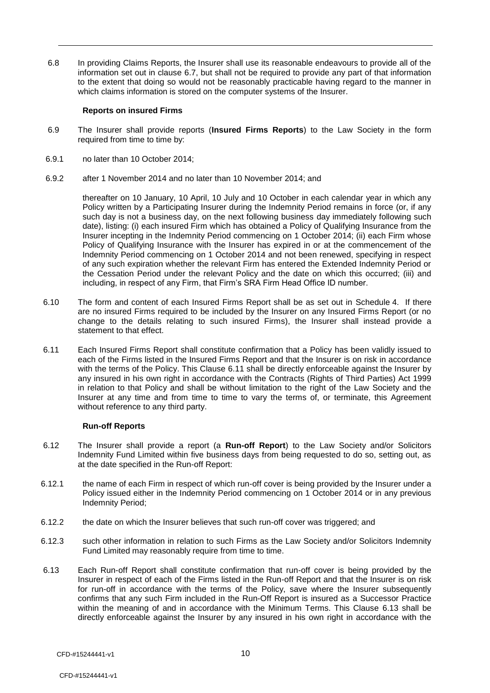6.8 In providing Claims Reports, the Insurer shall use its reasonable endeavours to provide all of the information set out in clause [6.7,](#page-11-0) but shall not be required to provide any part of that information to the extent that doing so would not be reasonably practicable having regard to the manner in which claims information is stored on the computer systems of the Insurer.

#### <span id="page-12-2"></span>**Reports on insured Firms**

- 6.9 The Insurer shall provide reports (**Insured Firms Reports**) to the Law Society in the form required from time to time by:
- 6.9.1 no later than 10 October 2014;
- 6.9.2 after 1 November 2014 and no later than 10 November 2014; and

thereafter on 10 January, 10 April, 10 July and 10 October in each calendar year in which any Policy written by a Participating Insurer during the Indemnity Period remains in force (or, if any such day is not a business day, on the next following business day immediately following such date), listing: (i) each insured Firm which has obtained a Policy of Qualifying Insurance from the Insurer incepting in the Indemnity Period commencing on 1 October 2014; (ii) each Firm whose Policy of Qualifying Insurance with the Insurer has expired in or at the commencement of the Indemnity Period commencing on 1 October 2014 and not been renewed, specifying in respect of any such expiration whether the relevant Firm has entered the Extended Indemnity Period or the Cessation Period under the relevant Policy and the date on which this occurred; (iii) and including, in respect of any Firm, that Firm"s SRA Firm Head Office ID number.

- 6.10 The form and content of each Insured Firms Report shall be as set out in [Schedule](#page-47-0) 4. If there are no insured Firms required to be included by the Insurer on any Insured Firms Report (or no change to the details relating to such insured Firms), the Insurer shall instead provide a statement to that effect.
- <span id="page-12-0"></span>6.11 Each Insured Firms Report shall constitute confirmation that a Policy has been validly issued to each of the Firms listed in the Insured Firms Report and that the Insurer is on risk in accordance with the terms of the Policy. This Clause [6.11](#page-12-0) shall be directly enforceable against the Insurer by any insured in his own right in accordance with the Contracts (Rights of Third Parties) Act 1999 in relation to that Policy and shall be without limitation to the right of the Law Society and the Insurer at any time and from time to time to vary the terms of, or terminate, this Agreement without reference to any third party.

#### **Run-off Reports**

- 6.12 The Insurer shall provide a report (a **Run-off Report**) to the Law Society and/or Solicitors Indemnity Fund Limited within five business days from being requested to do so, setting out, as at the date specified in the Run-off Report:
- 6.12.1 the name of each Firm in respect of which run-off cover is being provided by the Insurer under a Policy issued either in the Indemnity Period commencing on 1 October 2014 or in any previous Indemnity Period;
- 6.12.2 the date on which the Insurer believes that such run-off cover was triggered; and
- 6.12.3 such other information in relation to such Firms as the Law Society and/or Solicitors Indemnity Fund Limited may reasonably require from time to time.
- <span id="page-12-1"></span>6.13 Each Run-off Report shall constitute confirmation that run-off cover is being provided by the Insurer in respect of each of the Firms listed in the Run-off Report and that the Insurer is on risk for run-off in accordance with the terms of the Policy, save where the Insurer subsequently confirms that any such Firm included in the Run-Off Report is insured as a Successor Practice within the meaning of and in accordance with the Minimum Terms. This Clause [6.13](#page-12-1) shall be directly enforceable against the Insurer by any insured in his own right in accordance with the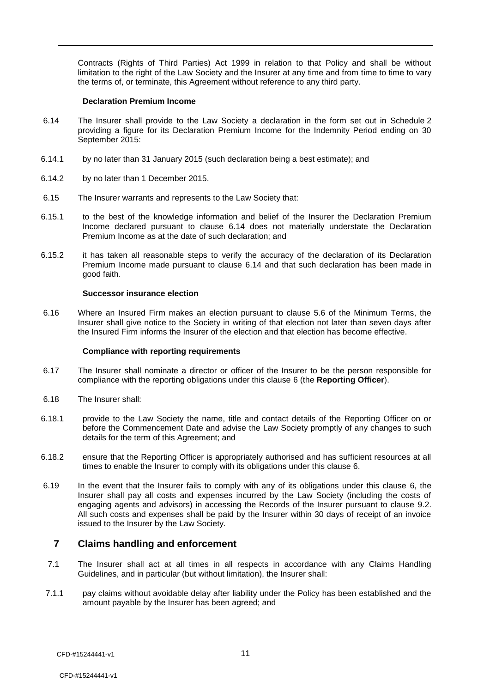Contracts (Rights of Third Parties) Act 1999 in relation to that Policy and shall be without limitation to the right of the Law Society and the Insurer at any time and from time to time to vary the terms of, or terminate, this Agreement without reference to any third party.

#### <span id="page-13-2"></span>**Declaration Premium Income**

- <span id="page-13-3"></span>6.14 The Insurer shall provide to the Law Society a declaration in the form set out in [Schedule](#page-44-0) 2 providing a figure for its Declaration Premium Income for the Indemnity Period ending on 30 September 2015:
- 6.14.1 by no later than 31 January 2015 (such declaration being a best estimate); and
- 6.14.2 by no later than 1 December 2015.
- 6.15 The Insurer warrants and represents to the Law Society that:
- 6.15.1 to the best of the knowledge information and belief of the Insurer the Declaration Premium Income declared pursuant to clause [6.14](#page-13-2) does not materially understate the Declaration Premium Income as at the date of such declaration; and
- 6.15.2 it has taken all reasonable steps to verify the accuracy of the declaration of its Declaration Premium Income made pursuant to clause [6.14](#page-13-3) and that such declaration has been made in good faith.

#### **Successor insurance election**

6.16 Where an Insured Firm makes an election pursuant to clause 5.6 of the Minimum Terms, the Insurer shall give notice to the Society in writing of that election not later than seven days after the Insured Firm informs the Insurer of the election and that election has become effective.

#### **Compliance with reporting requirements**

- <span id="page-13-1"></span>6.17 The Insurer shall nominate a director or officer of the Insurer to be the person responsible for compliance with the reporting obligations under this clause [6](#page-10-1) (the **Reporting Officer**).
- 6.18 The Insurer shall:
- 6.18.1 provide to the Law Society the name, title and contact details of the Reporting Officer on or before the Commencement Date and advise the Law Society promptly of any changes to such details for the term of this Agreement; and
- 6.18.2 ensure that the Reporting Officer is appropriately authorised and has sufficient resources at all times to enable the Insurer to comply with its obligations under this clause [6.](#page-10-1)
- 6.19 In the event that the Insurer fails to comply with any of its obligations under this clause [6,](#page-10-1) the Insurer shall pay all costs and expenses incurred by the Law Society (including the costs of engaging agents and advisors) in accessing the Records of the Insurer pursuant to clause [9.2.](#page-14-1) All such costs and expenses shall be paid by the Insurer within 30 days of receipt of an invoice issued to the Insurer by the Law Society.

### **7 Claims handling and enforcement**

- <span id="page-13-0"></span>7.1 The Insurer shall act at all times in all respects in accordance with any Claims Handling Guidelines, and in particular (but without limitation), the Insurer shall:
- 7.1.1 pay claims without avoidable delay after liability under the Policy has been established and the amount payable by the Insurer has been agreed; and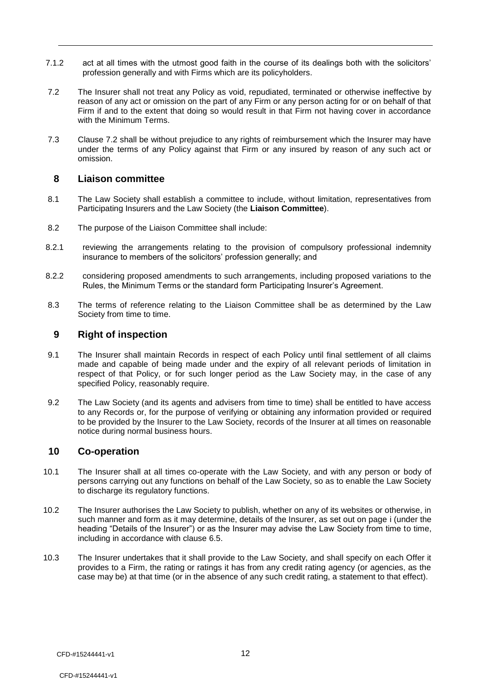- 7.1.2 act at all times with the utmost good faith in the course of its dealings both with the solicitors' profession generally and with Firms which are its policyholders.
- <span id="page-14-2"></span>7.2 The Insurer shall not treat any Policy as void, repudiated, terminated or otherwise ineffective by reason of any act or omission on the part of any Firm or any person acting for or on behalf of that Firm if and to the extent that doing so would result in that Firm not having cover in accordance with the Minimum Terms.
- 7.3 Clause [7.2](#page-14-2) shall be without prejudice to any rights of reimbursement which the Insurer may have under the terms of any Policy against that Firm or any insured by reason of any such act or omission.

### **8 Liaison committee**

- <span id="page-14-0"></span>8.1 The Law Society shall establish a committee to include, without limitation, representatives from Participating Insurers and the Law Society (the **Liaison Committee**).
- 8.2 The purpose of the Liaison Committee shall include:
- 8.2.1 reviewing the arrangements relating to the provision of compulsory professional indemnity insurance to members of the solicitors' profession generally; and
- 8.2.2 considering proposed amendments to such arrangements, including proposed variations to the Rules, the Minimum Terms or the standard form Participating Insurer"s Agreement.
- 8.3 The terms of reference relating to the Liaison Committee shall be as determined by the Law Society from time to time.

### **9 Right of inspection**

- 9.1 The Insurer shall maintain Records in respect of each Policy until final settlement of all claims made and capable of being made under and the expiry of all relevant periods of limitation in respect of that Policy, or for such longer period as the Law Society may, in the case of any specified Policy, reasonably require.
- <span id="page-14-1"></span>9.2 The Law Society (and its agents and advisers from time to time) shall be entitled to have access to any Records or, for the purpose of verifying or obtaining any information provided or required to be provided by the Insurer to the Law Society, records of the Insurer at all times on reasonable notice during normal business hours.

### **10 Co-operation**

- 10.1 The Insurer shall at all times co-operate with the Law Society, and with any person or body of persons carrying out any functions on behalf of the Law Society, so as to enable the Law Society to discharge its regulatory functions.
- 10.2 The Insurer authorises the Law Society to publish, whether on any of its websites or otherwise, in such manner and form as it may determine, details of the Insurer, as set out on page [i](#page-1-0) (under the heading "Details of the Insurer") or as the Insurer may advise the Law Society from time to time, including in accordance with clause [6.5.](#page-11-2)
- 10.3 The Insurer undertakes that it shall provide to the Law Society, and shall specify on each Offer it provides to a Firm, the rating or ratings it has from any credit rating agency (or agencies, as the case may be) at that time (or in the absence of any such credit rating, a statement to that effect).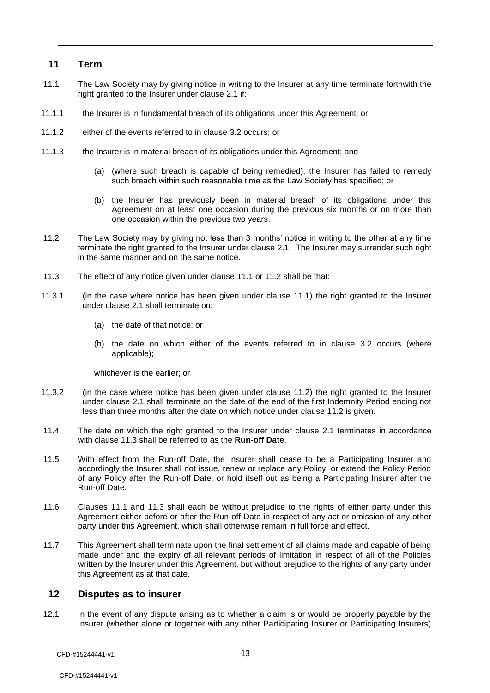### **11 Term**

- <span id="page-15-1"></span>11.1 The Law Society may by giving notice in writing to the Insurer at any time terminate forthwith the right granted to the Insurer under clause [2.1](#page-6-1) if:
- 11.1.1 the Insurer is in fundamental breach of its obligations under this Agreement; or
- 11.1.2 either of the events referred to in clause [3.2](#page-8-2) occurs; or
- 11.1.3 the Insurer is in material breach of its obligations under this Agreement; and
	- (a) (where such breach is capable of being remedied), the Insurer has failed to remedy such breach within such reasonable time as the Law Society has specified; or
	- (b) the Insurer has previously been in material breach of its obligations under this Agreement on at least one occasion during the previous six months or on more than one occasion within the previous two years.
- <span id="page-15-2"></span>11.2 The Law Society may by giving not less than 3 months" notice in writing to the other at any time terminate the right granted to the Insurer under clause [2.1.](#page-6-1) The Insurer may surrender such right in the same manner and on the same notice.
- <span id="page-15-3"></span>11.3 The effect of any notice given under clause [11.1](#page-15-1) or [11.2](#page-15-2) shall be that:
- 11.3.1 (in the case where notice has been given under clause [11.1\)](#page-15-1) the right granted to the Insurer under clause [2.1](#page-6-1) shall terminate on:
	- (a) the date of that notice; or
	- (b) the date on which either of the events referred to in clause [3.2](#page-8-2) occurs (where applicable);

whichever is the earlier; or

- 11.3.2 (in the case where notice has been given under clause [11.2\)](#page-15-2) the right granted to the Insurer under clause [2.1](#page-6-1) shall terminate on the date of the end of the first Indemnity Period ending not less than three months after the date on which notice under clause [11.2](#page-15-2) is given.
- <span id="page-15-0"></span>11.4 The date on which the right granted to the Insurer under clause [2.1](#page-6-1) terminates in accordance with clause [11.3](#page-15-3) shall be referred to as the **Run-off Date**.
- 11.5 With effect from the Run-off Date, the Insurer shall cease to be a Participating Insurer and accordingly the Insurer shall not issue, renew or replace any Policy, or extend the Policy Period of any Policy after the Run-off Date, or hold itself out as being a Participating Insurer after the Run-off Date.
- 11.6 Clauses [11.1](#page-15-1) and [11.3](#page-15-3) shall each be without prejudice to the rights of either party under this Agreement either before or after the Run-off Date in respect of any act or omission of any other party under this Agreement, which shall otherwise remain in full force and effect.
- 11.7 This Agreement shall terminate upon the final settlement of all claims made and capable of being made under and the expiry of all relevant periods of limitation in respect of all of the Policies written by the Insurer under this Agreement, but without prejudice to the rights of any party under this Agreement as at that date.

#### **12 Disputes as to insurer**

<span id="page-15-4"></span>12.1 In the event of any dispute arising as to whether a claim is or would be properly payable by the Insurer (whether alone or together with any other Participating Insurer or Participating Insurers)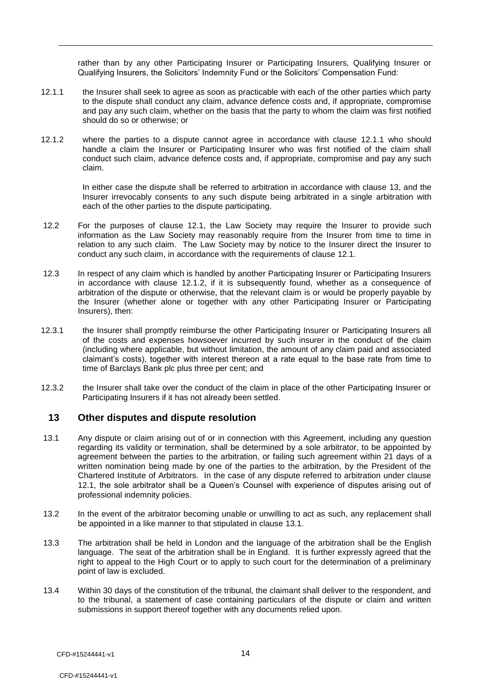rather than by any other Participating Insurer or Participating Insurers, Qualifying Insurer or Qualifying Insurers, the Solicitors" Indemnity Fund or the Solicitors" Compensation Fund:

- <span id="page-16-0"></span>12.1.1 the Insurer shall seek to agree as soon as practicable with each of the other parties which party to the dispute shall conduct any claim, advance defence costs and, if appropriate, compromise and pay any such claim, whether on the basis that the party to whom the claim was first notified should do so or otherwise; or
- <span id="page-16-2"></span>12.1.2 where the parties to a dispute cannot agree in accordance with clause [12.1.1](#page-16-0) who should handle a claim the Insurer or Participating Insurer who was first notified of the claim shall conduct such claim, advance defence costs and, if appropriate, compromise and pay any such claim.

In either case the dispute shall be referred to arbitration in accordance with clause [13,](#page-16-1) and the Insurer irrevocably consents to any such dispute being arbitrated in a single arbitration with each of the other parties to the dispute participating.

- 12.2 For the purposes of clause [12.1,](#page-15-4) the Law Society may require the Insurer to provide such information as the Law Society may reasonably require from the Insurer from time to time in relation to any such claim. The Law Society may by notice to the Insurer direct the Insurer to conduct any such claim, in accordance with the requirements of clause [12.1.](#page-15-4)
- 12.3 In respect of any claim which is handled by another Participating Insurer or Participating Insurers in accordance with clause [12.1.2,](#page-16-2) if it is subsequently found, whether as a consequence of arbitration of the dispute or otherwise, that the relevant claim is or would be properly payable by the Insurer (whether alone or together with any other Participating Insurer or Participating Insurers), then:
- 12.3.1 the Insurer shall promptly reimburse the other Participating Insurer or Participating Insurers all of the costs and expenses howsoever incurred by such insurer in the conduct of the claim (including where applicable, but without limitation, the amount of any claim paid and associated claimant"s costs), together with interest thereon at a rate equal to the base rate from time to time of Barclays Bank plc plus three per cent; and
- 12.3.2 the Insurer shall take over the conduct of the claim in place of the other Participating Insurer or Participating Insurers if it has not already been settled.

### <span id="page-16-1"></span>**13 Other disputes and dispute resolution**

- <span id="page-16-3"></span>13.1 Any dispute or claim arising out of or in connection with this Agreement, including any question regarding its validity or termination, shall be determined by a sole arbitrator, to be appointed by agreement between the parties to the arbitration, or failing such agreement within 21 days of a written nomination being made by one of the parties to the arbitration, by the President of the Chartered Institute of Arbitrators. In the case of any dispute referred to arbitration under clause [12.1,](#page-15-4) the sole arbitrator shall be a Queen"s Counsel with experience of disputes arising out of professional indemnity policies.
- 13.2 In the event of the arbitrator becoming unable or unwilling to act as such, any replacement shall be appointed in a like manner to that stipulated in clause [13.1.](#page-16-3)
- 13.3 The arbitration shall be held in London and the language of the arbitration shall be the English language. The seat of the arbitration shall be in England. It is further expressly agreed that the right to appeal to the High Court or to apply to such court for the determination of a preliminary point of law is excluded.
- 13.4 Within 30 days of the constitution of the tribunal, the claimant shall deliver to the respondent, and to the tribunal, a statement of case containing particulars of the dispute or claim and written submissions in support thereof together with any documents relied upon.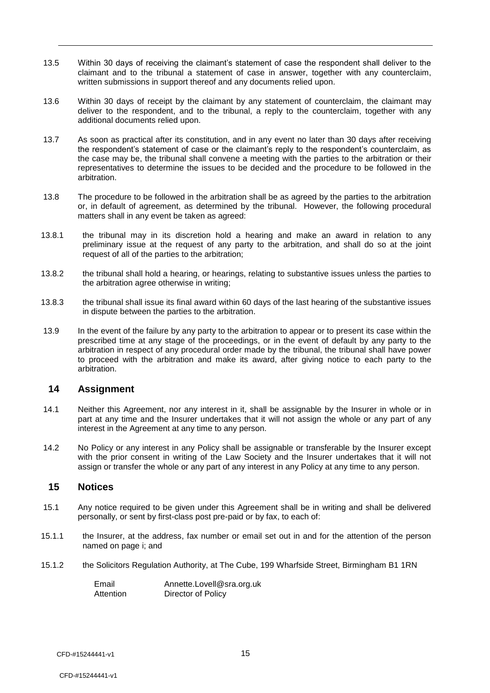- 13.5 Within 30 days of receiving the claimant"s statement of case the respondent shall deliver to the claimant and to the tribunal a statement of case in answer, together with any counterclaim, written submissions in support thereof and any documents relied upon.
- 13.6 Within 30 days of receipt by the claimant by any statement of counterclaim, the claimant may deliver to the respondent, and to the tribunal, a reply to the counterclaim, together with any additional documents relied upon.
- 13.7 As soon as practical after its constitution, and in any event no later than 30 days after receiving the respondent"s statement of case or the claimant"s reply to the respondent"s counterclaim, as the case may be, the tribunal shall convene a meeting with the parties to the arbitration or their representatives to determine the issues to be decided and the procedure to be followed in the arbitration.
- 13.8 The procedure to be followed in the arbitration shall be as agreed by the parties to the arbitration or, in default of agreement, as determined by the tribunal. However, the following procedural matters shall in any event be taken as agreed:
- 13.8.1 the tribunal may in its discretion hold a hearing and make an award in relation to any preliminary issue at the request of any party to the arbitration, and shall do so at the joint request of all of the parties to the arbitration;
- 13.8.2 the tribunal shall hold a hearing, or hearings, relating to substantive issues unless the parties to the arbitration agree otherwise in writing;
- 13.8.3 the tribunal shall issue its final award within 60 days of the last hearing of the substantive issues in dispute between the parties to the arbitration.
- 13.9 In the event of the failure by any party to the arbitration to appear or to present its case within the prescribed time at any stage of the proceedings, or in the event of default by any party to the arbitration in respect of any procedural order made by the tribunal, the tribunal shall have power to proceed with the arbitration and make its award, after giving notice to each party to the arbitration.

#### **14 Assignment**

- 14.1 Neither this Agreement, nor any interest in it, shall be assignable by the Insurer in whole or in part at any time and the Insurer undertakes that it will not assign the whole or any part of any interest in the Agreement at any time to any person.
- 14.2 No Policy or any interest in any Policy shall be assignable or transferable by the Insurer except with the prior consent in writing of the Law Society and the Insurer undertakes that it will not assign or transfer the whole or any part of any interest in any Policy at any time to any person.

#### <span id="page-17-0"></span>**15 Notices**

- <span id="page-17-1"></span>15.1 Any notice required to be given under this Agreement shall be in writing and shall be delivered personally, or sent by first-class post pre-paid or by fax, to each of:
- 15.1.1 the Insurer, at the address, fax number or email set out in and for the attention of the person named on page [i;](#page-1-0) and
- 15.1.2 the Solicitors Regulation Authority, at The Cube, 199 Wharfside Street, Birmingham B1 1RN

| Email     | Annette.Lovell@sra.org.uk |
|-----------|---------------------------|
| Attention | Director of Policy        |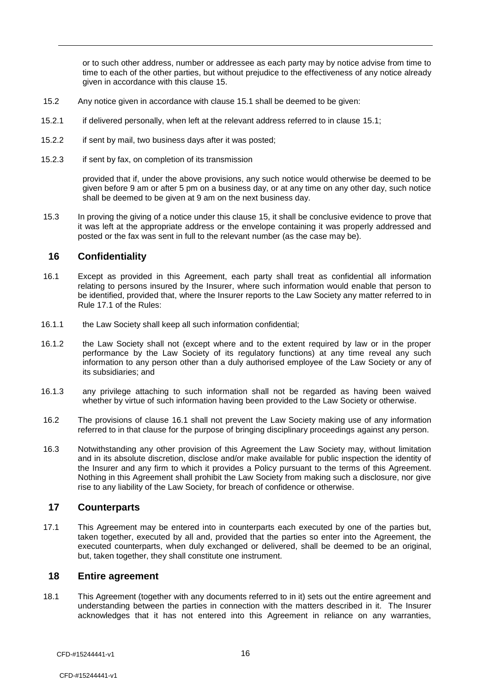or to such other address, number or addressee as each party may by notice advise from time to time to each of the other parties, but without prejudice to the effectiveness of any notice already given in accordance with this clause [15.](#page-17-0)

- 15.2 Any notice given in accordance with clause [15.1](#page-17-1) shall be deemed to be given:
- 15.2.1 if delivered personally, when left at the relevant address referred to in clause [15.1;](#page-17-1)
- 15.2.2 if sent by mail, two business days after it was posted;
- 15.2.3 if sent by fax, on completion of its transmission

provided that if, under the above provisions, any such notice would otherwise be deemed to be given before 9 am or after 5 pm on a business day, or at any time on any other day, such notice shall be deemed to be given at 9 am on the next business day.

15.3 In proving the giving of a notice under this clause [15,](#page-17-0) it shall be conclusive evidence to prove that it was left at the appropriate address or the envelope containing it was properly addressed and posted or the fax was sent in full to the relevant number (as the case may be).

### <span id="page-18-0"></span>**16 Confidentiality**

- <span id="page-18-1"></span>16.1 Except as provided in this Agreement, each party shall treat as confidential all information relating to persons insured by the Insurer, where such information would enable that person to be identified, provided that, where the Insurer reports to the Law Society any matter referred to in Rule [17.1](#page-25-0) of the Rules:
- 16.1.1 the Law Society shall keep all such information confidential;
- 16.1.2 the Law Society shall not (except where and to the extent required by law or in the proper performance by the Law Society of its regulatory functions) at any time reveal any such information to any person other than a duly authorised employee of the Law Society or any of its subsidiaries; and
- 16.1.3 any privilege attaching to such information shall not be regarded as having been waived whether by virtue of such information having been provided to the Law Society or otherwise.
- 16.2 The provisions of clause [16.1](#page-18-1) shall not prevent the Law Society making use of any information referred to in that clause for the purpose of bringing disciplinary proceedings against any person.
- 16.3 Notwithstanding any other provision of this Agreement the Law Society may, without limitation and in its absolute discretion, disclose and/or make available for public inspection the identity of the Insurer and any firm to which it provides a Policy pursuant to the terms of this Agreement. Nothing in this Agreement shall prohibit the Law Society from making such a disclosure, nor give rise to any liability of the Law Society, for breach of confidence or otherwise.

### **17 Counterparts**

17.1 This Agreement may be entered into in counterparts each executed by one of the parties but, taken together, executed by all and, provided that the parties so enter into the Agreement, the executed counterparts, when duly exchanged or delivered, shall be deemed to be an original, but, taken together, they shall constitute one instrument.

### **18 Entire agreement**

18.1 This Agreement (together with any documents referred to in it) sets out the entire agreement and understanding between the parties in connection with the matters described in it. The Insurer acknowledges that it has not entered into this Agreement in reliance on any warranties,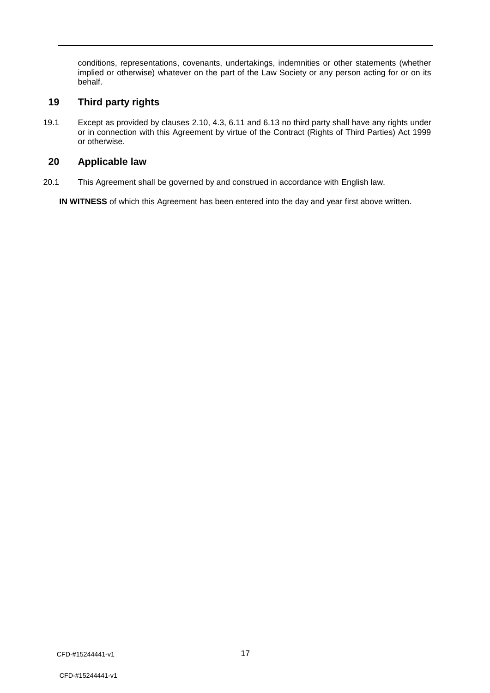conditions, representations, covenants, undertakings, indemnities or other statements (whether implied or otherwise) whatever on the part of the Law Society or any person acting for or on its behalf.

### **19 Third party rights**

19.1 Except as provided by clauses [2.10,](#page-7-1) [4.3,](#page-9-7) [6.11](#page-12-0) and [6.13](#page-12-1) no third party shall have any rights under or in connection with this Agreement by virtue of the Contract (Rights of Third Parties) Act 1999 or otherwise.

### **20 Applicable law**

20.1 This Agreement shall be governed by and construed in accordance with English law.

**IN WITNESS** of which this Agreement has been entered into the day and year first above written.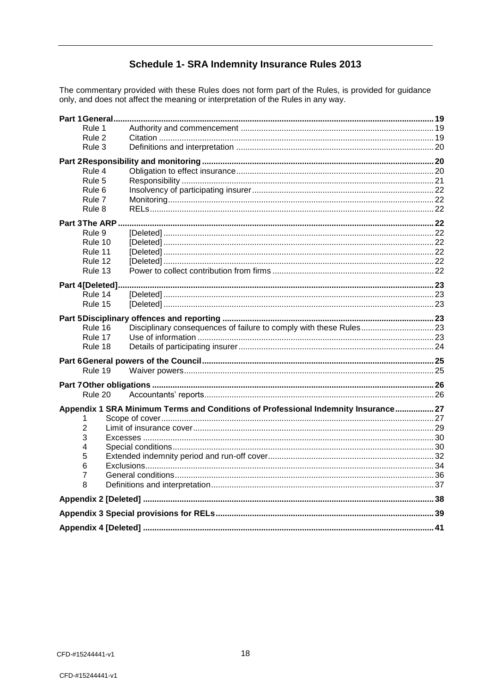### Schedule 1- SRA Indemnity Insurance Rules 2013

<span id="page-20-0"></span>The commentary provided with these Rules does not form part of the Rules, is provided for guidance only, and does not affect the meaning or interpretation of the Rules in any way.

| Rule 1         |                                                                                    |  |
|----------------|------------------------------------------------------------------------------------|--|
| Rule 2         |                                                                                    |  |
| Rule 3         |                                                                                    |  |
|                |                                                                                    |  |
| Rule 4         |                                                                                    |  |
| Rule 5         |                                                                                    |  |
| Rule 6         |                                                                                    |  |
| Rule 7         |                                                                                    |  |
| Rule 8         |                                                                                    |  |
|                |                                                                                    |  |
| Rule 9         |                                                                                    |  |
| Rule 10        |                                                                                    |  |
| Rule 11        |                                                                                    |  |
| Rule 12        |                                                                                    |  |
| Rule 13        |                                                                                    |  |
|                |                                                                                    |  |
| Rule 14        |                                                                                    |  |
| Rule 15        |                                                                                    |  |
|                |                                                                                    |  |
| Rule 16        |                                                                                    |  |
| Rule 17        |                                                                                    |  |
| Rule 18        |                                                                                    |  |
|                |                                                                                    |  |
| Rule 19        |                                                                                    |  |
|                |                                                                                    |  |
| Rule 20        |                                                                                    |  |
|                | Appendix 1 SRA Minimum Terms and Conditions of Professional Indemnity Insurance 27 |  |
| 1              |                                                                                    |  |
| 2              |                                                                                    |  |
| 3              |                                                                                    |  |
| 4              |                                                                                    |  |
| 5              |                                                                                    |  |
| 6              |                                                                                    |  |
| $\overline{7}$ |                                                                                    |  |
| 8              |                                                                                    |  |
|                |                                                                                    |  |
|                |                                                                                    |  |
|                |                                                                                    |  |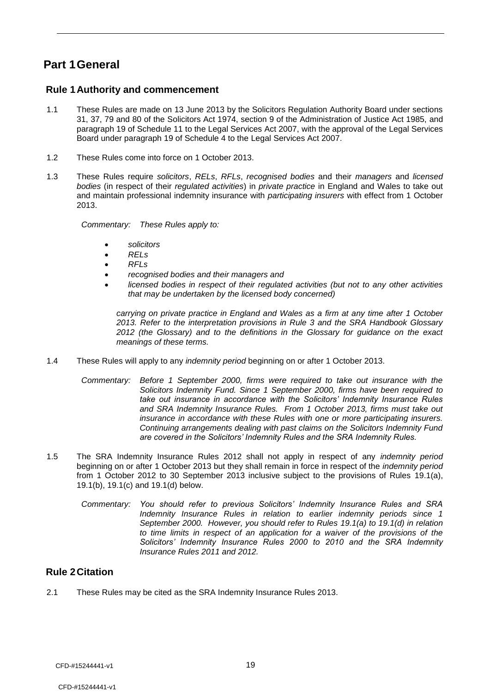### <span id="page-21-0"></span>**Part 1General**

#### <span id="page-21-1"></span>**Rule 1Authority and commencement**

- 1.1 These Rules are made on 13 June 2013 by the Solicitors Regulation Authority Board under sections 31, 37, 79 and 80 of the Solicitors Act 1974, section 9 of the Administration of Justice Act 1985, and paragraph 19 of Schedule 11 to the Legal Services Act 2007, with the approval of the Legal Services Board under paragraph 19 of Schedule 4 to the Legal Services Act 2007.
- 1.2 These Rules come into force on 1 October 2013.
- 1.3 These Rules require *solicitors*, *RELs*, *RFLs*, *recognised bodies* and their *managers* and *licensed bodies* (in respect of their *regulated activities*) in *private practice* in England and Wales to take out and maintain professional indemnity insurance with *participating insurers* with effect from 1 October 2013.

*Commentary: These Rules apply to:*

- *solicitors*
- *RELs*
- *RFLs*
- *recognised bodies and their managers and*
- *licensed bodies in respect of their regulated activities (but not to any other activities that may be undertaken by the licensed body concerned)*

*carrying on private practice in England and Wales as a firm at any time after 1 October 2013. Refer to the interpretation provisions in Rule 3 and the SRA Handbook Glossary 2012 (the Glossary) and to the definitions in the Glossary for guidance on the exact meanings of these terms.*

- 1.4 These Rules will apply to any *indemnity period* beginning on or after 1 October 2013.
	- *Commentary: Before 1 September 2000, firms were required to take out insurance with the Solicitors Indemnity Fund. Since 1 September 2000, firms have been required to take out insurance in accordance with the Solicitors" Indemnity Insurance Rules and SRA Indemnity Insurance Rules. From 1 October 2013, firms must take out insurance in accordance with these Rules with one or more participating insurers. Continuing arrangements dealing with past claims on the Solicitors Indemnity Fund are covered in the Solicitors" Indemnity Rules and the SRA Indemnity Rules.*
- 1.5 The SRA Indemnity Insurance Rules 2012 shall not apply in respect of any *indemnity period* beginning on or after 1 October 2013 but they shall remain in force in respect of the *indemnity period* from 1 October 2012 to 30 September 2013 inclusive subject to the provisions of Rules [19.1\(a\),](#page-27-2) [19.1\(b\),](#page-27-3) [19.1\(c\)](#page-27-4) and [19.1\(d\)](#page-27-5) below.
	- *Commentary: You should refer to previous Solicitors" Indemnity Insurance Rules and SRA Indemnity Insurance Rules in relation to earlier indemnity periods since 1 September 2000. However, you should refer to Rules [19.1\(a\)](#page-27-2) to [19.1\(d\)](#page-27-5) in relation to time limits in respect of an application for a waiver of the provisions of the Solicitors" Indemnity Insurance Rules 2000 to 2010 and the SRA Indemnity Insurance Rules 2011 and 2012.*

### <span id="page-21-2"></span>**Rule 2Citation**

2.1 These Rules may be cited as the SRA Indemnity Insurance Rules 2013.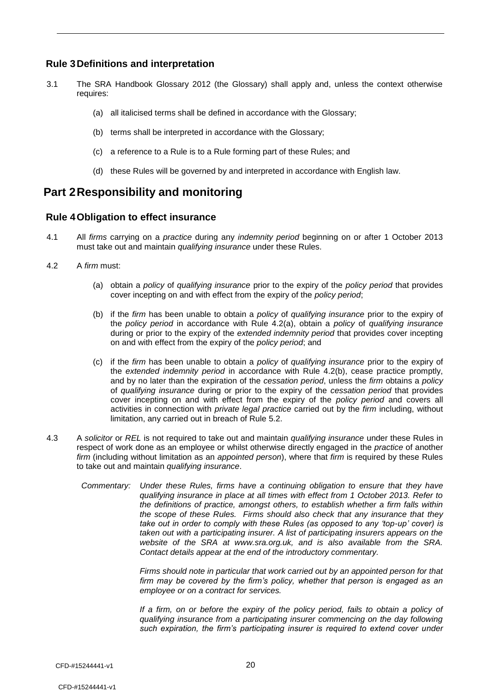### <span id="page-22-0"></span>**Rule 3Definitions and interpretation**

- 3.1 The SRA Handbook Glossary 2012 (the Glossary) shall apply and, unless the context otherwise requires:
	- (a) all italicised terms shall be defined in accordance with the Glossary;
	- (b) terms shall be interpreted in accordance with the Glossary;
	- (c) a reference to a Rule is to a Rule forming part of these Rules; and
	- (d) these Rules will be governed by and interpreted in accordance with English law.

### <span id="page-22-1"></span>**Part 2Responsibility and monitoring**

#### <span id="page-22-2"></span>**Rule 4Obligation to effect insurance**

<span id="page-22-5"></span>4.1 All *firms* carrying on a *practice* during any *indemnity period* beginning on or after 1 October 2013 must take out and maintain *qualifying insurance* under these Rules.

#### <span id="page-22-3"></span>4.2 A *firm* must:

- (a) obtain a *policy* of *qualifying insurance* prior to the expiry of the *policy period* that provides cover incepting on and with effect from the expiry of the *policy period*;
- <span id="page-22-4"></span>(b) if the *firm* has been unable to obtain a *policy* of *qualifying insurance* prior to the expiry of the *policy period* in accordance with Rule 4.[2\(a\),](#page-22-3) obtain a *policy* of *qualifying insurance*  during or prior to the expiry of the *extended indemnity period* that provides cover incepting on and with effect from the expiry of the *policy period*; and
- (c) if the *firm* has been unable to obtain a *policy* of *qualifying insurance* prior to the expiry of the *extended indemnity period* in accordance with Rule 4.[2\(b\),](#page-22-4) cease practice promptly, and by no later than the expiration of the *cessation period*, unless the *firm* obtains a *policy* of *qualifying insurance* during or prior to the expiry of the *cessation period* that provides cover incepting on and with effect from the expiry of the *policy period* and covers all activities in connection with *private legal practice* carried out by the *firm* including, without limitation, any carried out in breach of Rule [5.2.](#page-23-1)
- 4.3 A *solicitor* or *REL* is not required to take out and maintain *qualifying insurance* under these Rules in respect of work done as an employee or whilst otherwise directly engaged in the *practice* of another *firm* (including without limitation as an *appointed person*), where that *firm* is required by these Rules to take out and maintain *qualifying insurance*.
	- *Commentary: Under these Rules, firms have a continuing obligation to ensure that they have qualifying insurance in place at all times with effect from 1 October 2013. Refer to the definitions of practice, amongst others, to establish whether a firm falls within the scope of these Rules. Firms should also check that any insurance that they take out in order to comply with these Rules (as opposed to any "top-up" cover) is taken out with a participating insurer. A list of participating insurers appears on the website of the SRA at www.sra.org.uk, and is also available from the SRA. Contact details appear at the end of the introductory commentary.*

*Firms should note in particular that work carried out by an appointed person for that firm may be covered by the firm"s policy, whether that person is engaged as an employee or on a contract for services.*

*If a firm, on or before the expiry of the policy period, fails to obtain a policy of qualifying insurance from a participating insurer commencing on the day following such expiration, the firm"s participating insurer is required to extend cover under*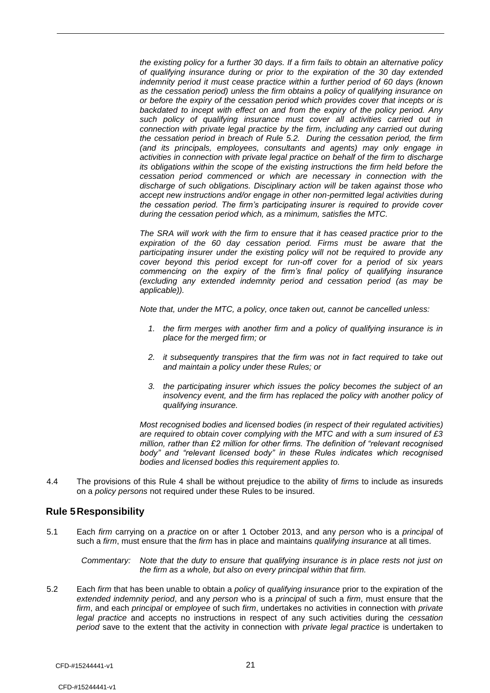*the existing policy for a further 30 days. If a firm fails to obtain an alternative policy of qualifying insurance during or prior to the expiration of the 30 day extended indemnity period it must cease practice within a further period of 60 days (known as the cessation period) unless the firm obtains a policy of qualifying insurance on or before the expiry of the cessation period which provides cover that incepts or is backdated to incept with effect on and from the expiry of the policy period. Any such policy of qualifying insurance must cover all activities carried out in connection with private legal practice by the firm, including any carried out during the cessation period in breach of Rule [5.2.](#page-23-1) During the cessation period, the firm (and its principals, employees, consultants and agents) may only engage in activities in connection with private legal practice on behalf of the firm to discharge its obligations within the scope of the existing instructions the firm held before the cessation period commenced or which are necessary in connection with the discharge of such obligations. Disciplinary action will be taken against those who accept new instructions and/or engage in other non-permitted legal activities during the cessation period. The firm"s participating insurer is required to provide cover during the cessation period which, as a minimum, satisfies the MTC.*

*The SRA will work with the firm to ensure that it has ceased practice prior to the expiration of the 60 day cessation period. Firms must be aware that the participating insurer under the existing policy will not be required to provide any cover beyond this period except for run-off cover for a period of six years commencing on the expiry of the firm"s final policy of qualifying insurance (excluding any extended indemnity period and cessation period (as may be applicable)).* 

*Note that, under the MTC, a policy, once taken out, cannot be cancelled unless:*

- *1. the firm merges with another firm and a policy of qualifying insurance is in place for the merged firm; or*
- *2. it subsequently transpires that the firm was not in fact required to take out and maintain a policy under these Rules; or*
- *3. the participating insurer which issues the policy becomes the subject of an insolvency event, and the firm has replaced the policy with another policy of qualifying insurance.*

*Most recognised bodies and licensed bodies (in respect of their regulated activities) are required to obtain cover complying with the MTC and with a sum insured of £3 million, rather than £2 million for other firms. The definition of "relevant recognised body" and "relevant licensed body" in these Rules indicates which recognised bodies and licensed bodies this requirement applies to.*

4.4 The provisions of this [Rule 4](#page-22-2) shall be without prejudice to the ability of *firms* to include as insureds on a *policy persons* not required under these Rules to be insured.

### <span id="page-23-0"></span>**Rule 5Responsibility**

5.1 Each *firm* carrying on a *practice* on or after 1 October 2013, and any *person* who is a *principal* of such a *firm*, must ensure that the *firm* has in place and maintains *qualifying insurance* at all times.

*Commentary: Note that the duty to ensure that qualifying insurance is in place rests not just on the firm as a whole, but also on every principal within that firm.* 

<span id="page-23-1"></span>5.2 Each *firm* that has been unable to obtain a *policy* of *qualifying insurance* prior to the expiration of the *extended indemnity period*, and any *person* who is a *principal* of such a *firm*, must ensure that the *firm*, and each *principal* or *employee* of such *firm*, undertakes no activities in connection with *private legal practice* and accepts no instructions in respect of any such activities during the *cessation period* save to the extent that the activity in connection with *private legal practice* is undertaken to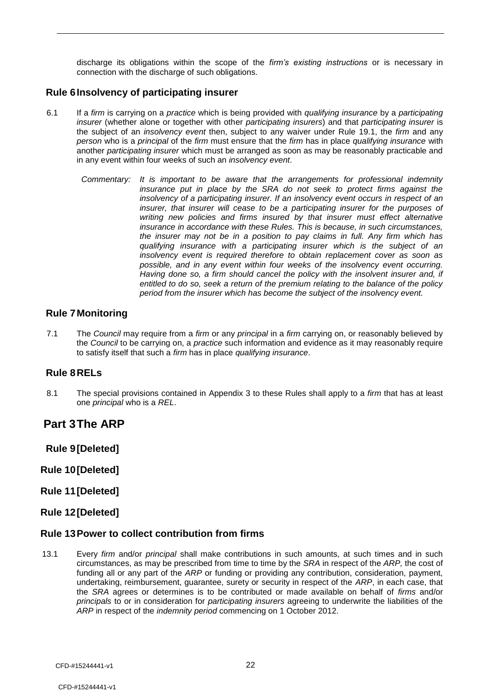discharge its obligations within the scope of the *firm"s existing instructions* or is necessary in connection with the discharge of such obligations.

### <span id="page-24-0"></span>**Rule 6Insolvency of participating insurer**

- 6.1 If a *firm* is carrying on a *practice* which is being provided with *qualifying insurance* by a *participating insurer* (whether alone or together with other *participating insurers*) and that *participating insurer* is the subject of an *insolvency event* then, subject to any waiver under Rule [19.1,](#page-27-6) the *firm* and any *person* who is a *principal* of the *firm* must ensure that the *firm* has in place *qualifying insurance* with another *participating insurer* which must be arranged as soon as may be reasonably practicable and in any event within four weeks of such an *insolvency event*.
	- *Commentary: It is important to be aware that the arrangements for professional indemnity insurance put in place by the SRA do not seek to protect firms against the insolvency of a participating insurer. If an insolvency event occurs in respect of an insurer, that insurer will cease to be a participating insurer for the purposes of writing new policies and firms insured by that insurer must effect alternative insurance in accordance with these Rules. This is because, in such circumstances, the insurer may not be in a position to pay claims in full. Any firm which has qualifying insurance with a participating insurer which is the subject of an insolvency event is required therefore to obtain replacement cover as soon as possible, and in any event within four weeks of the insolvency event occurring. Having done so, a firm should cancel the policy with the insolvent insurer and, if entitled to do so, seek a return of the premium relating to the balance of the policy period from the insurer which has become the subject of the insolvency event.*

### <span id="page-24-1"></span>**Rule 7Monitoring**

7.1 The *Council* may require from a *firm* or any *principal* in a *firm* carrying on, or reasonably believed by the *Council* to be carrying on, a *practice* such information and evidence as it may reasonably require to satisfy itself that such a *firm* has in place *qualifying insurance*.

### <span id="page-24-2"></span>**Rule 8RELs**

8.1 The special provisions contained in [Appendix 3](#page-41-0) to these Rules shall apply to a *firm* that has at least one *principal* who is a *REL*.

### <span id="page-24-3"></span>**Part 3The ARP**

<span id="page-24-4"></span>**Rule 9[Deleted]**

- <span id="page-24-5"></span>**Rule 10[Deleted]**
- <span id="page-24-6"></span>**Rule 11[Deleted]**
- <span id="page-24-7"></span>**Rule 12[Deleted]**

#### <span id="page-24-8"></span>**Rule 13Power to collect contribution from firms**

<span id="page-24-9"></span>13.1 Every *firm* and/or *principal* shall make contributions in such amounts, at such times and in such circumstances, as may be prescribed from time to time by the *SRA* in respect of the *ARP,* the cost of funding all or any part of the *ARP* or funding or providing any contribution, consideration, payment, undertaking, reimbursement, guarantee, surety or security in respect of the *ARP*, in each case, that the *SRA* agrees or determines is to be contributed or made available on behalf of *firms* and/or *principals* to or in consideration for *participating insurers* agreeing to underwrite the liabilities of the *ARP* in respect of the *indemnity period* commencing on 1 October 2012.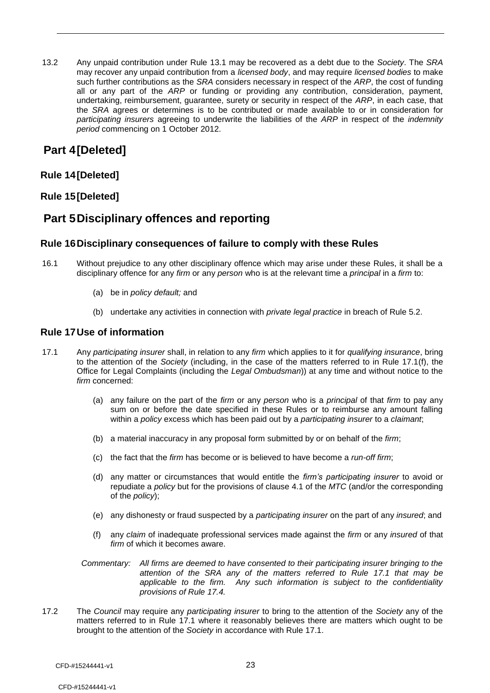13.2 Any unpaid contribution under Rule [13.1](#page-24-9) may be recovered as a debt due to the *Society*. The *SRA* may recover any unpaid contribution from a *licensed body*, and may require *licensed bodies* to make such further contributions as the *SRA* considers necessary in respect of the *ARP*, the cost of funding all or any part of the *ARP* or funding or providing any contribution, consideration, payment, undertaking, reimbursement, guarantee, surety or security in respect of the *ARP*, in each case, that the *SRA* agrees or determines is to be contributed or made available to or in consideration for *participating insurers* agreeing to underwrite the liabilities of the *ARP* in respect of the *indemnity period* commencing on 1 October 2012.

### <span id="page-25-1"></span>**Part 4[Deleted]**

### <span id="page-25-2"></span>**Rule 14[Deleted]**

### <span id="page-25-3"></span>**Rule 15[Deleted]**

### <span id="page-25-4"></span>**Part 5Disciplinary offences and reporting**

### <span id="page-25-5"></span>**Rule 16Disciplinary consequences of failure to comply with these Rules**

- 16.1 Without prejudice to any other disciplinary offence which may arise under these Rules, it shall be a disciplinary offence for any *firm* or any *person* who is at the relevant time a *principal* in a *firm* to:
	- (a) be in *policy default;* and
	- (b) undertake any activities in connection with *private legal practice* in breach of Rule [5.2.](#page-23-1)

### <span id="page-25-6"></span>**Rule 17Use of information**

- <span id="page-25-0"></span>17.1 Any *participating insurer* shall, in relation to any *firm* which applies to it for *qualifying insurance*, bring to the attention of the *Society* (including, in the case of the matters referred to in Rule 17.[1\(f\),](#page-25-7) the Office for Legal Complaints (including the *Legal Ombudsman*)) at any time and without notice to the *firm* concerned:
	- (a) any failure on the part of the *firm* or any *person* who is a *principal* of that *firm* to pay any sum on or before the date specified in these Rules or to reimburse any amount falling within a *policy* excess which has been paid out by a *participating insurer* to a *claimant*;
	- (b) a material inaccuracy in any proposal form submitted by or on behalf of the *firm*;
	- (c) the fact that the *firm* has become or is believed to have become a *run-off firm*;
	- (d) any matter or circumstances that would entitle the *firm"s participating insurer* to avoid or repudiate a *policy* but for the provisions of clause [4.1](#page-32-0) of the *MTC* (and/or the corresponding of the *policy*);
	- (e) any dishonesty or fraud suspected by a *participating insurer* on the part of any *insured*; and
	- (f) any *claim* of inadequate professional services made against the *firm* or any *insured* of that *firm* of which it becomes aware.
	- *Commentary: All firms are deemed to have consented to their participating insurer bringing to the attention of the SRA any of the matters referred to Rule [17.1](#page-25-0) that may be applicable to the firm. Any such information is subject to the confidentiality provisions of Rule [17.4.](#page-26-1)*
- <span id="page-25-8"></span><span id="page-25-7"></span>17.2 The *Council* may require any *participating insurer* to bring to the attention of the *Society* any of the matters referred to in Rule [17.1](#page-25-0) where it reasonably believes there are matters which ought to be brought to the attention of the *Society* in accordance with Rule [17.1.](#page-25-0)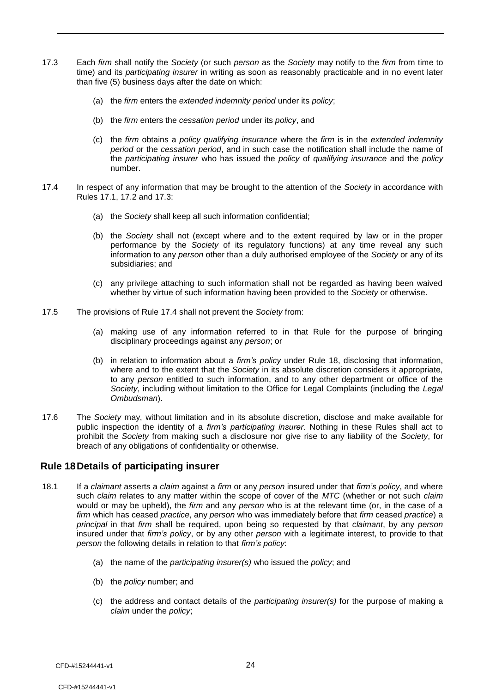- <span id="page-26-2"></span>17.3 Each *firm* shall notify the *Society* (or such *person* as the *Society* may notify to the *firm* from time to time) and its *participating insurer* in writing as soon as reasonably practicable and in no event later than five (5) business days after the date on which:
	- (a) the *firm* enters the *extended indemnity period* under its *policy*;
	- (b) the *firm* enters the *cessation period* under its *policy*, and
	- (c) the *firm* obtains a *policy qualifying insurance* where the *firm* is in the *extended indemnity period* or the *cessation period*, and in such case the notification shall include the name of the *participating insurer* who has issued the *policy* of *qualifying insurance* and the *policy*  number.
- <span id="page-26-1"></span>17.4 In respect of any information that may be brought to the attention of the *Society* in accordance with Rules [17.1,](#page-25-0) [17.2](#page-25-8) and [17.3:](#page-26-2)
	- (a) the *Society* shall keep all such information confidential;
	- (b) the *Society* shall not (except where and to the extent required by law or in the proper performance by the *Society* of its regulatory functions) at any time reveal any such information to any *person* other than a duly authorised employee of the *Society* or any of its subsidiaries; and
	- (c) any privilege attaching to such information shall not be regarded as having been waived whether by virtue of such information having been provided to the *Society* or otherwise.
- 17.5 The provisions of Rule [17.4](#page-26-1) shall not prevent the *Society* from:
	- (a) making use of any information referred to in that Rule for the purpose of bringing disciplinary proceedings against any *person*; or
	- (b) in relation to information about a *firm"s policy* under [Rule 18,](#page-26-0) disclosing that information, where and to the extent that the *Society* in its absolute discretion considers it appropriate, to any *person* entitled to such information, and to any other department or office of the *Society*, including without limitation to the Office for Legal Complaints (including the *Legal Ombudsman*).
- 17.6 The *Society* may, without limitation and in its absolute discretion, disclose and make available for public inspection the identity of a *firm"s participating insurer*. Nothing in these Rules shall act to prohibit the *Society* from making such a disclosure nor give rise to any liability of the *Society*, for breach of any obligations of confidentiality or otherwise.

#### <span id="page-26-0"></span>**Rule 18Details of participating insurer**

- 18.1 If a *claimant* asserts a *claim* against a *firm* or any *person* insured under that *firm"s policy*, and where such *claim* relates to any matter within the scope of cover of the *MTC* (whether or not such *claim* would or may be upheld), the *firm* and any *person* who is at the relevant time (or, in the case of a *firm* which has ceased *practice*, any *person* who was immediately before that *firm* ceased *practice*) a *principal* in that *firm* shall be required, upon being so requested by that *claimant*, by any *person* insured under that *firm"s policy*, or by any other *person* with a legitimate interest, to provide to that *person* the following details in relation to that *firm"s policy*:
	- (a) the name of the *participating insurer(s)* who issued the *policy*; and
	- (b) the *policy* number; and
	- (c) the address and contact details of the *participating insurer(s)* for the purpose of making a *claim* under the *policy*;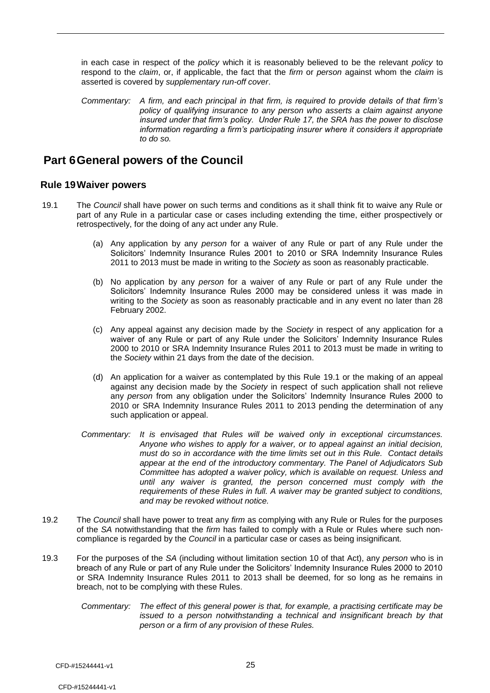in each case in respect of the *policy* which it is reasonably believed to be the relevant *policy* to respond to the *claim*, or, if applicable, the fact that the *firm* or *person* against whom the *claim* is asserted is covered by *supplementary run-off cover*.

*Commentary: A firm, and each principal in that firm, is required to provide details of that firm"s policy of qualifying insurance to any person who asserts a claim against anyone insured under that firm"s policy. Under [Rule 17,](#page-25-6) the SRA has the power to disclose information regarding a firm"s participating insurer where it considers it appropriate to do so.*

### <span id="page-27-0"></span>**Part 6General powers of the Council**

### <span id="page-27-1"></span>**Rule 19Waiver powers**

- <span id="page-27-6"></span><span id="page-27-4"></span><span id="page-27-3"></span><span id="page-27-2"></span>19.1 The *Council* shall have power on such terms and conditions as it shall think fit to waive any Rule or part of any Rule in a particular case or cases including extending the time, either prospectively or retrospectively, for the doing of any act under any Rule.
	- (a) Any application by any *person* for a waiver of any Rule or part of any Rule under the Solicitors" Indemnity Insurance Rules 2001 to 2010 or SRA Indemnity Insurance Rules 2011 to 2013 must be made in writing to the *Society* as soon as reasonably practicable.
	- (b) No application by any *person* for a waiver of any Rule or part of any Rule under the Solicitors" Indemnity Insurance Rules 2000 may be considered unless it was made in writing to the *Society* as soon as reasonably practicable and in any event no later than 28 February 2002.
	- (c) Any appeal against any decision made by the *Society* in respect of any application for a waiver of any Rule or part of any Rule under the Solicitors' Indemnity Insurance Rules 2000 to 2010 or SRA Indemnity Insurance Rules 2011 to 2013 must be made in writing to the *Society* within 21 days from the date of the decision.
	- (d) An application for a waiver as contemplated by this Rule [19.1](#page-27-6) or the making of an appeal against any decision made by the *Society* in respect of such application shall not relieve any *person* from any obligation under the Solicitors" Indemnity Insurance Rules 2000 to 2010 or SRA Indemnity Insurance Rules 2011 to 2013 pending the determination of any such application or appeal.
	- *Commentary: It is envisaged that Rules will be waived only in exceptional circumstances. Anyone who wishes to apply for a waiver, or to appeal against an initial decision, must do so in accordance with the time limits set out in this Rule. Contact details appear at the end of the introductory commentary. The Panel of Adjudicators Sub Committee has adopted a waiver policy, which is available on request. Unless and until any waiver is granted, the person concerned must comply with the requirements of these Rules in full. A waiver may be granted subject to conditions, and may be revoked without notice.*
- <span id="page-27-5"></span>19.2 The *Council* shall have power to treat any *firm* as complying with any Rule or Rules for the purposes of the *SA* notwithstanding that the *firm* has failed to comply with a Rule or Rules where such noncompliance is regarded by the *Council* in a particular case or cases as being insignificant.
- 19.3 For the purposes of the *SA* (including without limitation section 10 of that Act), any *person* who is in breach of any Rule or part of any Rule under the Solicitors" Indemnity Insurance Rules 2000 to 2010 or SRA Indemnity Insurance Rules 2011 to 2013 shall be deemed, for so long as he remains in breach, not to be complying with these Rules.
	- *Commentary: The effect of this general power is that, for example, a practising certificate may be issued to a person notwithstanding a technical and insignificant breach by that person or a firm of any provision of these Rules.*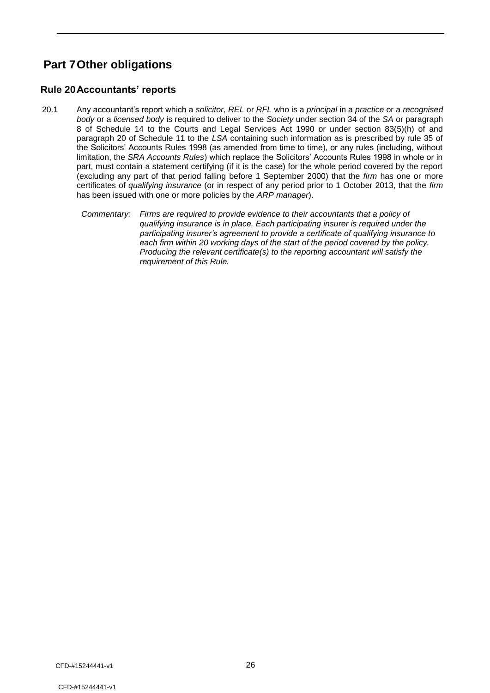## <span id="page-28-0"></span>**Part 7Other obligations**

### <span id="page-28-1"></span>**Rule 20Accountants' reports**

- 20.1 Any accountant"s report which a *solicitor, REL* or *RFL* who is a *principal* in a *practice* or a *recognised body* or a *licensed body* is required to deliver to the *Society* under section 34 of the *SA* or paragraph 8 of Schedule 14 to the Courts and Legal Services Act 1990 or under section 83(5)(h) of and paragraph 20 of Schedule 11 to the *LSA* containing such information as is prescribed by rule 35 of the Solicitors" Accounts Rules 1998 (as amended from time to time), or any rules (including, without limitation, the *SRA Accounts Rules*) which replace the Solicitors" Accounts Rules 1998 in whole or in part, must contain a statement certifying (if it is the case) for the whole period covered by the report (excluding any part of that period falling before 1 September 2000) that the *firm* has one or more certificates of *qualifying insurance* (or in respect of any period prior to 1 October 2013, that the *firm* has been issued with one or more policies by the *ARP manager*).
	- *Commentary: Firms are required to provide evidence to their accountants that a policy of qualifying insurance is in place. Each participating insurer is required under the participating insurer"s agreement to provide a certificate of qualifying insurance to each firm within 20 working days of the start of the period covered by the policy. Producing the relevant certificate(s) to the reporting accountant will satisfy the requirement of this Rule.*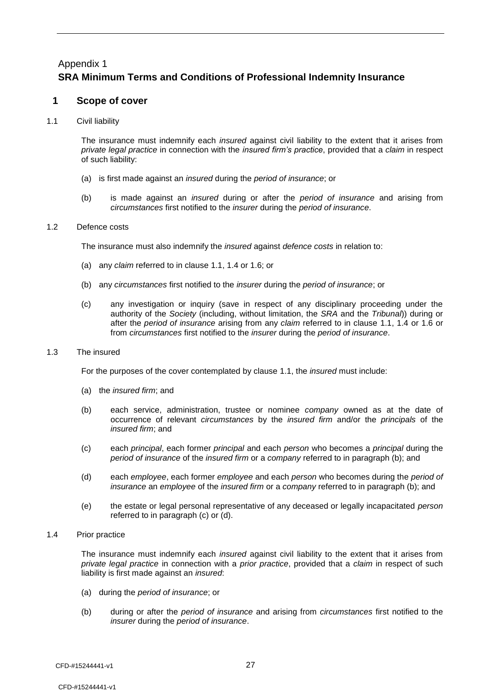### <span id="page-29-0"></span>Appendix 1 **SRA Minimum Terms and Conditions of Professional Indemnity Insurance**

### <span id="page-29-1"></span>**1 Scope of cover**

#### <span id="page-29-2"></span>1.1 Civil liability

The insurance must indemnify each *insured* against civil liability to the extent that it arises from *private legal practice* in connection with the *insured firm"s practice*, provided that a *claim* in respect of such liability:

- (a) is first made against an *insured* during the *period of insurance*; or
- (b) is made against an *insured* during or after the *period of insurance* and arising from *circumstances* first notified to the *insurer* during the *period of insurance*.

#### 1.2 Defence costs

The insurance must also indemnify the *insured* against *defence costs* in relation to:

- (a) any *claim* referred to in clause [1.1,](#page-29-2) [1.4](#page-29-3) or [1.6;](#page-30-0) or
- (b) any *circumstances* first notified to the *insurer* during the *period of insurance*; or
- (c) any investigation or inquiry (save in respect of any disciplinary proceeding under the authority of the *Society* (including, without limitation, the *SRA* and the *Tribunal*)) during or after the *period of insurance* arising from any *claim* referred to in clause [1.1,](#page-29-2) [1.4](#page-29-3) or [1.6](#page-30-0) or from *circumstances* first notified to the *insurer* during the *period of insurance*.

#### 1.3 The insured

For the purposes of the cover contemplated by clause [1.1,](#page-29-2) the *insured* must include:

- (a) the *insured firm*; and
- <span id="page-29-4"></span>(b) each service, administration, trustee or nominee *company* owned as at the date of occurrence of relevant *circumstances* by the *insured firm* and/or the *principals* of the *insured firm*; and
- (c) each *principal*, each former *principal* and each *person* who becomes a *principal* during the *period of insurance* of the *insured firm* or a *company* referred to in paragraph (b); and
- <span id="page-29-5"></span>(d) each *employee*, each former *employee* and each *person* who becomes during the *period of insurance* an *employee* of the *insured firm* or a *company* referred to in paragraph (b); and
- (e) the estate or legal personal representative of any deceased or legally incapacitated *person* referred to in paragraph (c) or (d).

#### <span id="page-29-3"></span>1.4 Prior practice

The insurance must indemnify each *insured* against civil liability to the extent that it arises from *private legal practice* in connection with a *prior practice*, provided that a *claim* in respect of such liability is first made against an *insured*:

- (a) during the *period of insurance*; or
- (b) during or after the *period of insurance* and arising from *circumstances* first notified to the *insurer* during the *period of insurance*.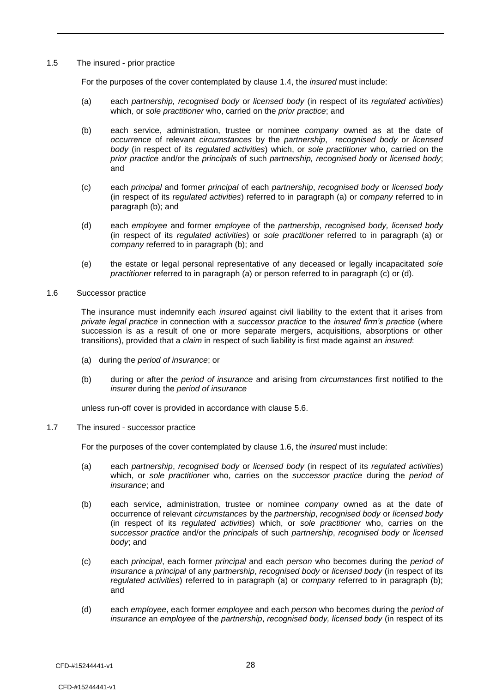#### 1.5 The insured - prior practice

For the purposes of the cover contemplated by clause [1.4,](#page-29-3) the *insured* must include:

- (a) each *partnership, recognised body* or *licensed body* (in respect of its *regulated activities*) which, or *sole practitioner* who, carried on the *prior practice*; and
- <span id="page-30-1"></span>(b) each service, administration, trustee or nominee *company* owned as at the date of *occurrence* of relevant *circumstances* by the *partnership*, *recognised body* or *licensed body* (in respect of its *regulated activities*) which, or *sole practitioner* who, carried on the *prior practice* and/or the *principals* of such *partnership, recognised body* or *licensed body*; and
- (c) each *principal* and former *principal* of each *partnership*, *recognised body* or *licensed body*  (in respect of its *regulated activities*) referred to in paragraph (a) or *company* referred to in paragraph (b); and
- <span id="page-30-3"></span>(d) each *employee* and former *employee* of the *partnership*, *recognised body, licensed body*  (in respect of its *regulated activities*) or *sole practitioner* referred to in paragraph (a) or *company* referred to in paragraph (b); and
- (e) the estate or legal personal representative of any deceased or legally incapacitated *sole practitioner* referred to in paragraph (a) or person referred to in paragraph (c) or (d).
- <span id="page-30-0"></span>1.6 Successor practice

The insurance must indemnify each *insured* against civil liability to the extent that it arises from *private legal practice* in connection with a *successor practice* to the *insured firm"s practice* (where succession is as a result of one or more separate mergers, acquisitions, absorptions or other transitions), provided that a *claim* in respect of such liability is first made against an *insured*:

- (a) during the *period of insurance*; or
- (b) during or after the *period of insurance* and arising from *circumstances* first notified to the *insurer* during the *period of insurance*

unless run-off cover is provided in accordance with clause [5.6.](#page-35-0)

#### 1.7 The insured - successor practice

For the purposes of the cover contemplated by clause [1.6,](#page-30-0) the *insured* must include:

- (a) each *partnership*, *recognised body* or *licensed body* (in respect of its *regulated activities*) which, or *sole practitioner* who, carries on the *successor practice* during the *period of insurance*; and
- <span id="page-30-2"></span>(b) each service, administration, trustee or nominee *company* owned as at the date of occurrence of relevant *circumstances* by the *partnership*, *recognised body* or *licensed body*  (in respect of its *regulated activities*) which, or *sole practitioner* who, carries on the *successor practice* and/or the *principals* of such *partnership*, *recognised body* or *licensed body*; and
- (c) each *principal*, each former *principal* and each *person* who becomes during the *period of insurance* a *principal* of any *partnership*, *recognised body* or *licensed body* (in respect of its *regulated activities*) referred to in paragraph (a) or *company* referred to in paragraph (b); and
- <span id="page-30-4"></span>(d) each *employee*, each former *employee* and each *person* who becomes during the *period of insurance* an *employee* of the *partnership*, *recognised body, licensed body* (in respect of its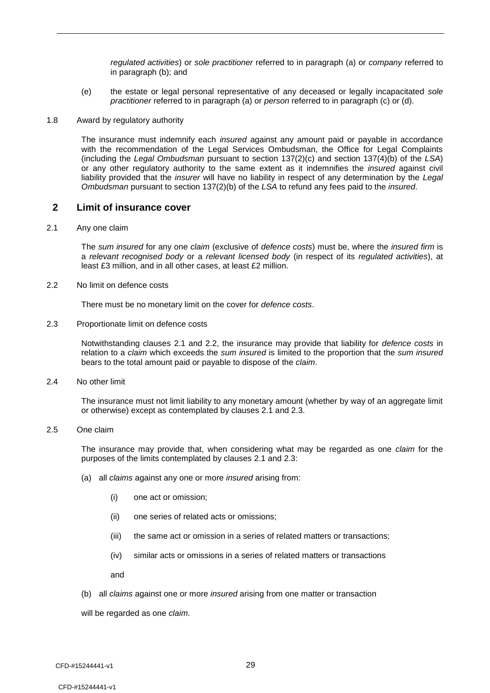*regulated activities*) or *sole practitioner* referred to in paragraph (a) or *company* referred to in paragraph (b); and

- (e) the estate or legal personal representative of any deceased or legally incapacitated *sole practitioner* referred to in paragraph (a) or *person* referred to in paragraph (c) or (d).
- <span id="page-31-4"></span>1.8 Award by regulatory authority

The insurance must indemnify each *insured* against any amount paid or payable in accordance with the recommendation of the Legal Services Ombudsman, the Office for Legal Complaints (including the *Legal Ombudsman* pursuant to section 137(2)(c) and section 137(4)(b) of the *LSA*) or any other regulatory authority to the same extent as it indemnifies the *insured* against civil liability provided that the *insurer* will have no liability in respect of any determination by the *Legal Ombudsman* pursuant to section 137(2)(b) of the *LSA* to refund any fees paid to the *insured*.

#### <span id="page-31-0"></span>**2 Limit of insurance cover**

<span id="page-31-1"></span>2.1 Any one claim

The *sum insured* for any one *claim* (exclusive of *defence costs*) must be, where the *insured firm* is a *relevant recognised body* or a *relevant licensed body* (in respect of its *regulated activities*), at least £3 million, and in all other cases, at least £2 million.

<span id="page-31-2"></span>2.2 No limit on defence costs

There must be no monetary limit on the cover for *defence costs*.

<span id="page-31-3"></span>2.3 Proportionate limit on defence costs

Notwithstanding clauses [2.1](#page-31-1) and [2.2,](#page-31-2) the insurance may provide that liability for *defence costs* in relation to a *claim* which exceeds the *sum insured* is limited to the proportion that the *sum insured* bears to the total amount paid or payable to dispose of the *claim*.

2.4 No other limit

The insurance must not limit liability to any monetary amount (whether by way of an aggregate limit or otherwise) except as contemplated by clauses [2.1](#page-31-1) and [2.3.](#page-31-3)

#### 2.5 One claim

The insurance may provide that, when considering what may be regarded as one *claim* for the purposes of the limits contemplated by clauses [2.1](#page-31-1) and [2.3:](#page-31-3)

- (a) all *claims* against any one or more *insured* arising from:
	- (i) one act or omission;
	- (ii) one series of related acts or omissions;
	- (iii) the same act or omission in a series of related matters or transactions;
	- (iv) similar acts or omissions in a series of related matters or transactions

and

(b) all *claims* against one or more *insured* arising from one matter or transaction

will be regarded as one *claim*.

CFD-#15244441-v1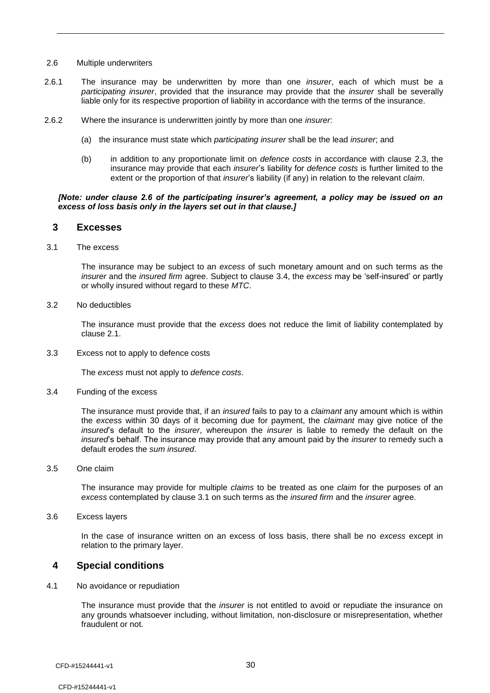- 2.6 Multiple underwriters
- 2.6.1 The insurance may be underwritten by more than one *insurer*, each of which must be a *participating insurer*, provided that the insurance may provide that the *insurer* shall be severally liable only for its respective proportion of liability in accordance with the terms of the insurance.
- 2.6.2 Where the insurance is underwritten jointly by more than one *insurer*:
	- (a) the insurance must state which *participating insurer* shall be the lead *insurer*; and
	- (b) in addition to any proportionate limit on *defence costs* in accordance with clause [2.3,](#page-31-3) the insurance may provide that each *insurer*"s liability for *defence costs* is further limited to the extent or the proportion of that *insurer*"s liability (if any) in relation to the relevant *claim*.

#### *[Note: under clause 2.6 of the participating insurer's agreement, a policy may be issued on an excess of loss basis only in the layers set out in that clause.]*

#### <span id="page-32-1"></span>**3 Excesses**

<span id="page-32-4"></span>3.1 The excess

The insurance may be subject to an *excess* of such monetary amount and on such terms as the *insurer* and the *insured firm* agree. Subject to clause [3.4,](#page-32-3) the *excess* may be "self-insured" or partly or wholly insured without regard to these *MTC*.

3.2 No deductibles

The insurance must provide that the *excess* does not reduce the limit of liability contemplated by clause [2.1.](#page-31-1)

3.3 Excess not to apply to defence costs

The *excess* must not apply to *defence costs*.

<span id="page-32-3"></span>3.4 Funding of the excess

The insurance must provide that, if an *insured* fails to pay to a *claimant* any amount which is within the *excess* within 30 days of it becoming due for payment, the *claimant* may give notice of the *insured*"s default to the *insurer*, whereupon the *insurer* is liable to remedy the default on the *insured*"s behalf. The insurance may provide that any amount paid by the *insurer* to remedy such a default erodes the *sum insured*.

3.5 One claim

The insurance may provide for multiple *claims* to be treated as one *claim* for the purposes of an *excess* contemplated by clause [3.1](#page-32-4) on such terms as the *insured firm* and the *insurer* agree.

3.6 Excess layers

In the case of insurance written on an excess of loss basis, there shall be no *excess* except in relation to the primary layer.

#### <span id="page-32-2"></span>**4 Special conditions**

<span id="page-32-0"></span>4.1 No avoidance or repudiation

The insurance must provide that the *insurer* is not entitled to avoid or repudiate the insurance on any grounds whatsoever including, without limitation, non-disclosure or misrepresentation, whether fraudulent or not.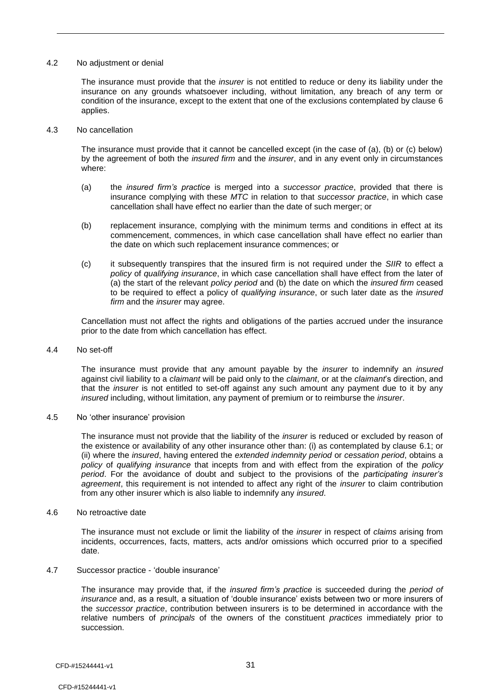#### 4.2 No adjustment or denial

The insurance must provide that the *insurer* is not entitled to reduce or deny its liability under the insurance on any grounds whatsoever including, without limitation, any breach of any term or condition of the insurance, except to the extent that one of the exclusions contemplated by clause [6](#page-36-0) applies.

#### 4.3 No cancellation

The insurance must provide that it cannot be cancelled except (in the case of (a), (b) or (c) below) by the agreement of both the *insured firm* and the *insurer*, and in any event only in circumstances where:

- (a) the *insured firm"s practice* is merged into a *successor practice*, provided that there is insurance complying with these *MTC* in relation to that *successor practice*, in which case cancellation shall have effect no earlier than the date of such merger; or
- (b) replacement insurance, complying with the minimum terms and conditions in effect at its commencement, commences, in which case cancellation shall have effect no earlier than the date on which such replacement insurance commences; or
- (c) it subsequently transpires that the insured firm is not required under the *SIIR* to effect a *policy* of *qualifying insurance*, in which case cancellation shall have effect from the later of (a) the start of the relevant *policy period* and (b) the date on which the *insured firm* ceased to be required to effect a policy of *qualifying insurance*, or such later date as the *insured firm* and the *insurer* may agree.

Cancellation must not affect the rights and obligations of the parties accrued under the insurance prior to the date from which cancellation has effect.

#### 4.4 No set-off

The insurance must provide that any amount payable by the *insurer* to indemnify an *insured* against civil liability to a *claimant* will be paid only to the *claimant*, or at the *claimant's* direction, and that the *insurer* is not entitled to set-off against any such amount any payment due to it by any *insured* including, without limitation, any payment of premium or to reimburse the *insurer*.

#### <span id="page-33-0"></span>4.5 No "other insurance" provision

The insurance must not provide that the liability of the *insurer* is reduced or excluded by reason of the existence or availability of any other insurance other than: (i) as contemplated by clause [6.1;](#page-36-1) or (ii) where the *insured*, having entered the *extended indemnity period* or *cessation period*, obtains a *policy* of *qualifying insurance* that incepts from and with effect from the expiration of the *policy period*. For the avoidance of doubt and subject to the provisions of the *participating insurer"s agreement*, this requirement is not intended to affect any right of the *insurer* to claim contribution from any other insurer which is also liable to indemnify any *insured*.

#### 4.6 No retroactive date

The insurance must not exclude or limit the liability of the *insurer* in respect of *claims* arising from incidents, occurrences, facts, matters, acts and/or omissions which occurred prior to a specified date.

#### 4.7 Successor practice - "double insurance"

The insurance may provide that, if the *insured firm"s practice* is succeeded during the *period of insurance* and, as a result, a situation of "double insurance" exists between two or more insurers of the *successor practice*, contribution between insurers is to be determined in accordance with the relative numbers of *principals* of the owners of the constituent *practices* immediately prior to succession.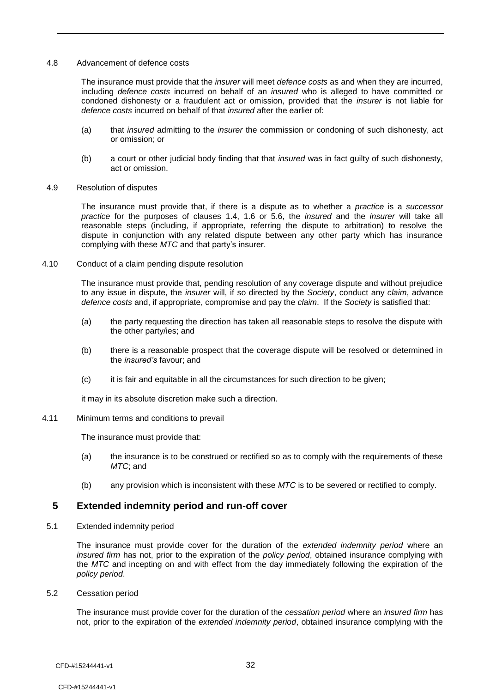#### 4.8 Advancement of defence costs

The insurance must provide that the *insurer* will meet *defence costs* as and when they are incurred, including *defence costs* incurred on behalf of an *insured* who is alleged to have committed or condoned dishonesty or a fraudulent act or omission, provided that the *insurer* is not liable for *defence costs* incurred on behalf of that *insured* after the earlier of:

- (a) that *insured* admitting to the *insurer* the commission or condoning of such dishonesty, act or omission; or
- (b) a court or other judicial body finding that that *insured* was in fact guilty of such dishonesty, act or omission.

#### <span id="page-34-3"></span>4.9 Resolution of disputes

The insurance must provide that, if there is a dispute as to whether a *practice* is a *successor practice* for the purposes of clauses [1.4,](#page-29-3) [1.6](#page-30-0) or [5.6,](#page-35-0) the *insured* and the *insurer* will take all reasonable steps (including, if appropriate, referring the dispute to arbitration) to resolve the dispute in conjunction with any related dispute between any other party which has insurance complying with these *MTC* and that party"s insurer.

<span id="page-34-4"></span>4.10 Conduct of a claim pending dispute resolution

The insurance must provide that, pending resolution of any coverage dispute and without prejudice to any issue in dispute, the *insurer* will, if so directed by the *Society*, conduct any *claim*, advance *defence costs* and, if appropriate, compromise and pay the *claim*. If the *Society* is satisfied that:

- (a) the party requesting the direction has taken all reasonable steps to resolve the dispute with the other party/ies; and
- (b) there is a reasonable prospect that the coverage dispute will be resolved or determined in the *insured"s* favour; and
- (c) it is fair and equitable in all the circumstances for such direction to be given;

it may in its absolute discretion make such a direction.

4.11 Minimum terms and conditions to prevail

The insurance must provide that:

- (a) the insurance is to be construed or rectified so as to comply with the requirements of these *MTC*; and
- (b) any provision which is inconsistent with these *MTC* is to be severed or rectified to comply.

#### <span id="page-34-0"></span>**5 Extended indemnity period and run-off cover**

<span id="page-34-1"></span>5.1 Extended indemnity period

The insurance must provide cover for the duration of the *extended indemnity period* where an *insured firm* has not, prior to the expiration of the *policy period*, obtained insurance complying with the *MTC* and incepting on and with effect from the day immediately following the expiration of the *policy period*.

<span id="page-34-2"></span>5.2 Cessation period

The insurance must provide cover for the duration of the *cessation period* where an *insured firm* has not, prior to the expiration of the *extended indemnity period*, obtained insurance complying with the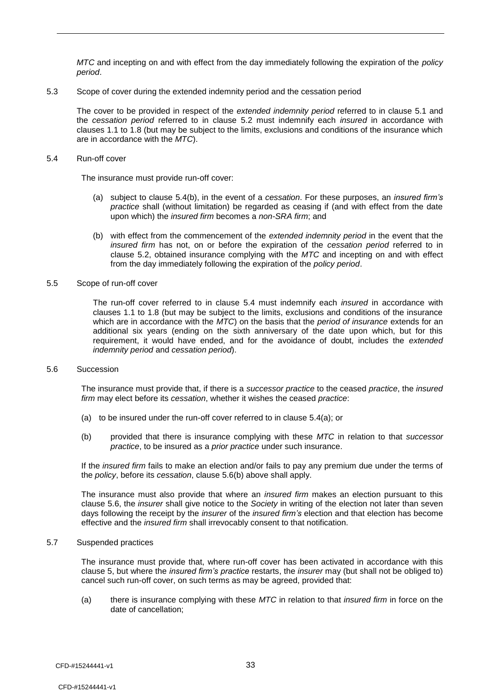*MTC* and incepting on and with effect from the day immediately following the expiration of the *policy period*.

5.3 Scope of cover during the extended indemnity period and the cessation period

The cover to be provided in respect of the *extended indemnity period* referred to in clause [5.1](#page-34-1) and the *cessation period* referred to in clause [5.2](#page-34-2) must indemnify each *insured* in accordance with clauses [1.1](#page-29-2) to [1.8](#page-31-4) (but may be subject to the limits, exclusions and conditions of the insurance which are in accordance with the *MTC*).

#### <span id="page-35-1"></span>5.4 Run-off cover

<span id="page-35-2"></span>The insurance must provide run-off cover:

- (a) subject to clause [5.4\(b\),](#page-35-1) in the event of a *cessation*. For these purposes, an *insured firm"s practice* shall (without limitation) be regarded as ceasing if (and with effect from the date upon which) the *insured firm* becomes a *non-SRA firm*; and
- (b) with effect from the commencement of the *extended indemnity period* in the event that the *insured firm* has not, on or before the expiration of the *cessation period* referred to in clause [5.2,](#page-34-2) obtained insurance complying with the *MTC* and incepting on and with effect from the day immediately following the expiration of the *policy period*.

#### 5.5 Scope of run-off cover

The run-off cover referred to in clause [5.4](#page-35-1) must indemnify each *insured* in accordance with clauses [1.1](#page-29-2) to [1.8](#page-31-4) (but may be subject to the limits, exclusions and conditions of the insurance which are in accordance with the *MTC*) on the basis that the *period of insurance* extends for an additional six years (ending on the sixth anniversary of the date upon which, but for this requirement, it would have ended, and for the avoidance of doubt, includes the *extended indemnity period* and *cessation period*).

#### <span id="page-35-0"></span>5.6 Succession

The insurance must provide that, if there is a *successor practice* to the ceased *practice*, the *insured firm* may elect before its *cessation*, whether it wishes the ceased *practice*:

- (a) to be insured under the run-off cover referred to in clause [5.4\(a\);](#page-35-2) or
- <span id="page-35-3"></span>(b) provided that there is insurance complying with these *MTC* in relation to that *successor practice*, to be insured as a *prior practice* under such insurance.

If the *insured firm* fails to make an election and/or fails to pay any premium due under the terms of the *policy*, before its *cessation*, clause 5.[6\(b\)](#page-35-3) above shall apply.

The insurance must also provide that where an *insured firm* makes an election pursuant to this clause [5.6,](#page-35-0) the *insurer* shall give notice to the *Society* in writing of the election not later than seven days following the receipt by the *insurer* of the *insured firm"s* election and that election has become effective and the *insured firm* shall irrevocably consent to that notification.

#### 5.7 Suspended practices

The insurance must provide that, where run-off cover has been activated in accordance with this clause [5,](#page-34-0) but where the *insured firm"s practice* restarts, the *insurer* may (but shall not be obliged to) cancel such run-off cover, on such terms as may be agreed, provided that:

(a) there is insurance complying with these *MTC* in relation to that *insured firm* in force on the date of cancellation;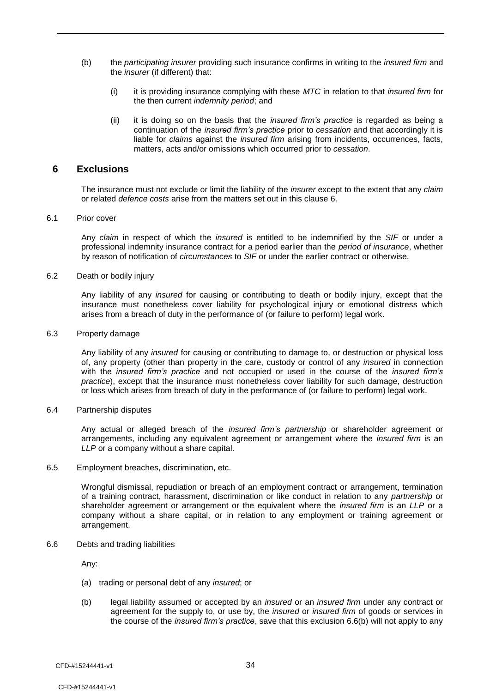- (b) the *participating insurer* providing such insurance confirms in writing to the *insured firm* and the *insurer* (if different) that:
	- (i) it is providing insurance complying with these *MTC* in relation to that *insured firm* for the then current *indemnity period*; and
	- (ii) it is doing so on the basis that the *insured firm"s practice* is regarded as being a continuation of the *insured firm"s practice* prior to *cessation* and that accordingly it is liable for *claims* against the *insured firm* arising from incidents, occurrences, facts, matters, acts and/or omissions which occurred prior to *cessation*.

### <span id="page-36-0"></span>**6 Exclusions**

The insurance must not exclude or limit the liability of the *insurer* except to the extent that any *claim* or related *defence costs* arise from the matters set out in this clause [6.](#page-36-0)

#### <span id="page-36-1"></span>6.1 Prior cover

Any *claim* in respect of which the *insured* is entitled to be indemnified by the *SIF* or under a professional indemnity insurance contract for a period earlier than the *period of insurance*, whether by reason of notification of *circumstances* to *SIF* or under the earlier contract or otherwise.

#### <span id="page-36-2"></span>6.2 Death or bodily injury

Any liability of any *insured* for causing or contributing to death or bodily injury, except that the insurance must nonetheless cover liability for psychological injury or emotional distress which arises from a breach of duty in the performance of (or failure to perform) legal work.

#### 6.3 Property damage

Any liability of any *insured* for causing or contributing to damage to, or destruction or physical loss of, any property (other than property in the care, custody or control of any *insured* in connection with the *insured firm"s practice* and not occupied or used in the course of the *insured firm"s practice*), except that the insurance must nonetheless cover liability for such damage, destruction or loss which arises from breach of duty in the performance of (or failure to perform) legal work.

6.4 Partnership disputes

Any actual or alleged breach of the *insured firm"s partnership* or shareholder agreement or arrangements, including any equivalent agreement or arrangement where the *insured firm* is an *LLP* or a company without a share capital.

6.5 Employment breaches, discrimination, etc.

Wrongful dismissal, repudiation or breach of an employment contract or arrangement, termination of a training contract, harassment, discrimination or like conduct in relation to any *partnership* or shareholder agreement or arrangement or the equivalent where the *insured firm* is an *LLP* or a company without a share capital, or in relation to any employment or training agreement or arrangement.

6.6 Debts and trading liabilities

Any:

- (a) trading or personal debt of any *insured*; or
- (b) legal liability assumed or accepted by an *insured* or an *insured firm* under any contract or agreement for the supply to, or use by, the *insured* or *insured firm* of goods or services in the course of the *insured firm"s practice*, save that this exclusion 6.6(b) will not apply to any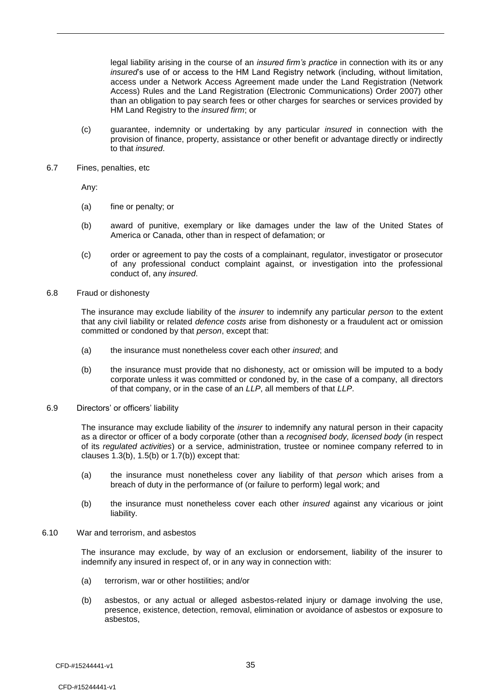legal liability arising in the course of an *insured firm"s practice* in connection with its or any *insured*"s use of or access to the HM Land Registry network (including, without limitation, access under a Network Access Agreement made under the Land Registration (Network Access) Rules and the Land Registration (Electronic Communications) Order 2007) other than an obligation to pay search fees or other charges for searches or services provided by HM Land Registry to the *insured firm*; or

- (c) guarantee, indemnity or undertaking by any particular *insured* in connection with the provision of finance, property, assistance or other benefit or advantage directly or indirectly to that *insured*.
- 6.7 Fines, penalties, etc

Any:

- (a) fine or penalty; or
- (b) award of punitive, exemplary or like damages under the law of the United States of America or Canada, other than in respect of defamation; or
- (c) order or agreement to pay the costs of a complainant, regulator, investigator or prosecutor of any professional conduct complaint against, or investigation into the professional conduct of, any *insured*.
- 6.8 Fraud or dishonesty

The insurance may exclude liability of the *insurer* to indemnify any particular *person* to the extent that any civil liability or related *defence costs* arise from dishonesty or a fraudulent act or omission committed or condoned by that *person*, except that:

- (a) the insurance must nonetheless cover each other *insured*; and
- (b) the insurance must provide that no dishonesty, act or omission will be imputed to a body corporate unless it was committed or condoned by, in the case of a company, all directors of that company, or in the case of an *LLP*, all members of that *LLP*.
- 6.9 Directors" or officers" liability

The insurance may exclude liability of the *insurer* to indemnify any natural person in their capacity as a director or officer of a body corporate (other than a *recognised body, licensed body* (in respect of its *regulated activities*) or a service, administration, trustee or nominee company referred to in clauses  $1.3(b)$ ,  $1.5(b)$  or  $1.7(b)$ ) except that:

- (a) the insurance must nonetheless cover any liability of that *person* which arises from a breach of duty in the performance of (or failure to perform) legal work; and
- (b) the insurance must nonetheless cover each other *insured* against any vicarious or joint liability.
- 6.10 War and terrorism, and asbestos

The insurance may exclude, by way of an exclusion or endorsement, liability of the insurer to indemnify any insured in respect of, or in any way in connection with:

- (a) terrorism, war or other hostilities; and/or
- (b) asbestos, or any actual or alleged asbestos-related injury or damage involving the use, presence, existence, detection, removal, elimination or avoidance of asbestos or exposure to asbestos,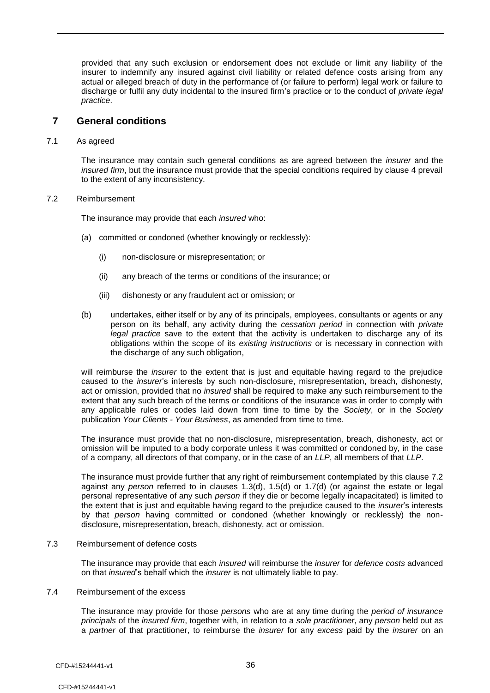provided that any such exclusion or endorsement does not exclude or limit any liability of the insurer to indemnify any insured against civil liability or related defence costs arising from any actual or alleged breach of duty in the performance of (or failure to perform) legal work or failure to discharge or fulfil any duty incidental to the insured firm"s practice or to the conduct of *private legal practice*.

### <span id="page-38-0"></span>**7 General conditions**

#### 7.1 As agreed

The insurance may contain such general conditions as are agreed between the *insurer* and the *insured firm*, but the insurance must provide that the special conditions required by clause 4 prevail to the extent of any inconsistency.

#### <span id="page-38-1"></span>7.2 Reimbursement

The insurance may provide that each *insured* who:

- (a) committed or condoned (whether knowingly or recklessly):
	- (i) non-disclosure or misrepresentation; or
	- (ii) any breach of the terms or conditions of the insurance; or
	- (iii) dishonesty or any fraudulent act or omission; or
- (b) undertakes, either itself or by any of its principals, employees, consultants or agents or any person on its behalf, any activity during the *cessation period* in connection with *private legal practice* save to the extent that the activity is undertaken to discharge any of its obligations within the scope of its *existing instructions* or is necessary in connection with the discharge of any such obligation,

will reimburse the *insurer* to the extent that is just and equitable having regard to the prejudice caused to the *insurer*"s interests by such non-disclosure, misrepresentation, breach, dishonesty, act or omission, provided that no *insured* shall be required to make any such reimbursement to the extent that any such breach of the terms or conditions of the insurance was in order to comply with any applicable rules or codes laid down from time to time by the *Society*, or in the *Society* publication *Your Clients - Your Business*, as amended from time to time.

The insurance must provide that no non-disclosure, misrepresentation, breach, dishonesty, act or omission will be imputed to a body corporate unless it was committed or condoned by, in the case of a company, all directors of that company, or in the case of an *LLP*, all members of that *LLP*.

The insurance must provide further that any right of reimbursement contemplated by this clause [7.2](#page-38-1) against any *person* referred to in clauses [1.3\(d\),](#page-29-5) [1.5\(d\)](#page-30-3) or [1.7\(d\)](#page-30-4) (or against the estate or legal personal representative of any such *person* if they die or become legally incapacitated) is limited to the extent that is just and equitable having regard to the prejudice caused to the *insurer*"s interests by that *person* having committed or condoned (whether knowingly or recklessly) the nondisclosure, misrepresentation, breach, dishonesty, act or omission.

#### 7.3 Reimbursement of defence costs

The insurance may provide that each *insured* will reimburse the *insurer* for *defence costs* advanced on that *insured*"s behalf which the *insurer* is not ultimately liable to pay.

#### 7.4 Reimbursement of the excess

The insurance may provide for those *persons* who are at any time during the *period of insurance principals* of the *insured firm*, together with, in relation to a *sole practitioner*, any *person* held out as a *partner* of that practitioner, to reimburse the *insurer* for any *excess* paid by the *insurer* on an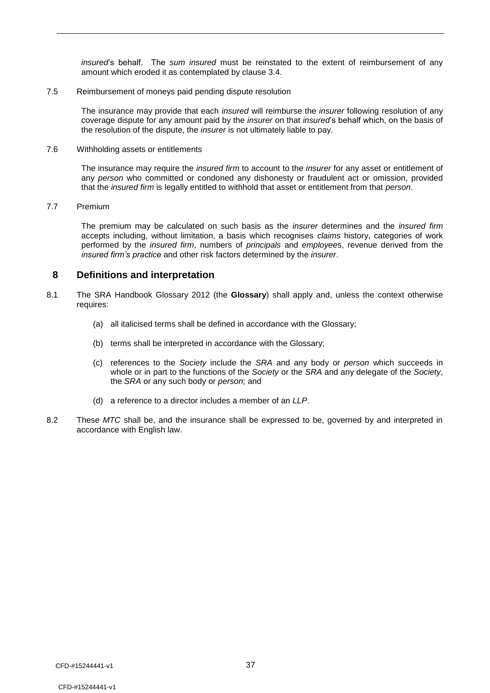*insured*"s behalf. The *sum insured* must be reinstated to the extent of reimbursement of any amount which eroded it as contemplated by clause [3.4.](#page-32-3)

#### 7.5 Reimbursement of moneys paid pending dispute resolution

The insurance may provide that each *insured* will reimburse the *insurer* following resolution of any coverage dispute for any amount paid by the *insurer* on that *insured*"s behalf which, on the basis of the resolution of the dispute, the *insurer* is not ultimately liable to pay.

#### 7.6 Withholding assets or entitlements

The insurance may require the *insured firm* to account to the *insurer* for any asset or entitlement of any *person* who committed or condoned any dishonesty or fraudulent act or omission, provided that the *insured firm* is legally entitled to withhold that asset or entitlement from that *person*.

#### 7.7 Premium

The premium may be calculated on such basis as the *insurer* determines and the *insured firm* accepts including, without limitation, a basis which recognises *claims* history, categories of work performed by the *insured firm*, numbers of *principals* and *employee*s, revenue derived from the *insured firm"s practice* and other risk factors determined by the *insurer*.

#### <span id="page-39-0"></span>**8 Definitions and interpretation**

- 8.1 The SRA Handbook Glossary 2012 (the **Glossary**) shall apply and, unless the context otherwise requires:
	- (a) all italicised terms shall be defined in accordance with the Glossary;
	- (b) terms shall be interpreted in accordance with the Glossary;
	- (c) references to the *Society* include the *SRA* and any body or *person* which succeeds in whole or in part to the functions of the *Society* or the *SRA* and any delegate of the *Society*, the *SRA* or any such body or *person*; and
	- (d) a reference to a director includes a member of an *LLP*.
- 8.2 These *MTC* shall be, and the insurance shall be expressed to be, governed by and interpreted in accordance with English law.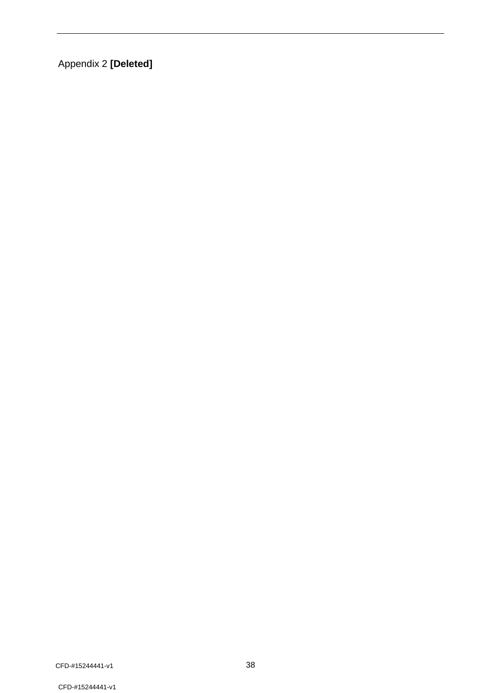<span id="page-40-0"></span>Appendix 2 **[Deleted]**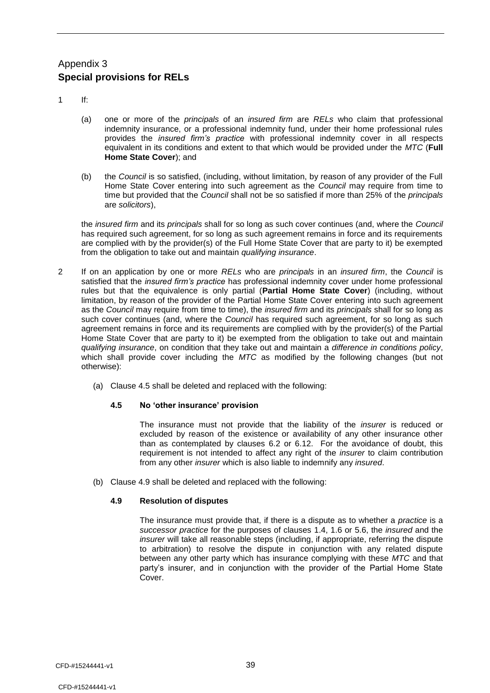### <span id="page-41-0"></span>Appendix 3 **Special provisions for RELs**

- 1 If:
	- (a) one or more of the *principals* of an *insured firm* are *RELs* who claim that professional indemnity insurance, or a professional indemnity fund, under their home professional rules provides the *insured firm"s practice* with professional indemnity cover in all respects equivalent in its conditions and extent to that which would be provided under the *MTC* (**Full Home State Cover**); and
	- (b) the *Council* is so satisfied, (including, without limitation, by reason of any provider of the Full Home State Cover entering into such agreement as the *Council* may require from time to time but provided that the *Council* shall not be so satisfied if more than 25% of the *principals*  are *solicitors*),

the *insured firm* and its *principals* shall for so long as such cover continues (and, where the *Council*  has required such agreement, for so long as such agreement remains in force and its requirements are complied with by the provider(s) of the Full Home State Cover that are party to it) be exempted from the obligation to take out and maintain *qualifying insurance*.

- 2 If on an application by one or more *RELs* who are *principals* in an *insured firm*, the *Council* is satisfied that the *insured firm"s practice* has professional indemnity cover under home professional rules but that the equivalence is only partial (**Partial Home State Cover**) (including, without limitation, by reason of the provider of the Partial Home State Cover entering into such agreement as the *Council* may require from time to time), the *insured firm* and its *principals* shall for so long as such cover continues (and, where the *Council* has required such agreement, for so long as such agreement remains in force and its requirements are complied with by the provider(s) of the Partial Home State Cover that are party to it) be exempted from the obligation to take out and maintain *qualifying insurance*, on condition that they take out and maintain a *difference in conditions policy*, which shall provide cover including the *MTC* as modified by the following changes (but not otherwise):
	- (a) Clause [4.5](#page-33-0) shall be deleted and replaced with the following:

#### **4.5 No 'other insurance' provision**

The insurance must not provide that the liability of the *insurer* is reduced or excluded by reason of the existence or availability of any other insurance other than as contemplated by clauses [6.2](#page-36-2) or 6.12. For the avoidance of doubt, this requirement is not intended to affect any right of the *insurer* to claim contribution from any other *insurer* which is also liable to indemnify any *insured*.

(b) Clause [4.9](#page-34-3) shall be deleted and replaced with the following:

#### **4.9 Resolution of disputes**

The insurance must provide that, if there is a dispute as to whether a *practice* is a *successor practice* for the purposes of clauses [1.4,](#page-29-3) [1.6](#page-30-0) or [5.6,](#page-35-0) the *insured* and the *insurer* will take all reasonable steps (including, if appropriate, referring the dispute to arbitration) to resolve the dispute in conjunction with any related dispute between any other party which has insurance complying with these *MTC* and that party"s insurer, and in conjunction with the provider of the Partial Home State Cover.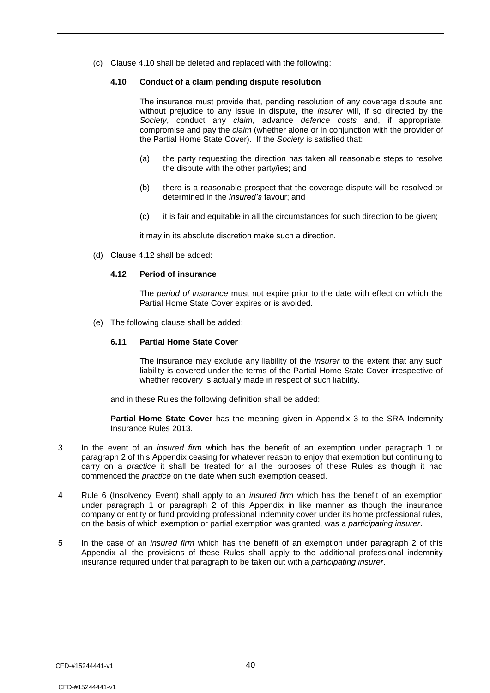(c) Clause [4.10](#page-34-4) shall be deleted and replaced with the following:

#### **4.10 Conduct of a claim pending dispute resolution**

The insurance must provide that, pending resolution of any coverage dispute and without prejudice to any issue in dispute, the *insurer* will, if so directed by the *Society*, conduct any *claim*, advance *defence costs* and, if appropriate, compromise and pay the *claim* (whether alone or in conjunction with the provider of the Partial Home State Cover). If the *Society* is satisfied that:

- (a) the party requesting the direction has taken all reasonable steps to resolve the dispute with the other party/ies; and
- (b) there is a reasonable prospect that the coverage dispute will be resolved or determined in the *insured"s* favour; and
- (c) it is fair and equitable in all the circumstances for such direction to be given;

it may in its absolute discretion make such a direction.

(d) Clause 4.12 shall be added:

#### **4.12 Period of insurance**

The *period of insurance* must not expire prior to the date with effect on which the Partial Home State Cover expires or is avoided.

(e) The following clause shall be added:

#### **6.11 Partial Home State Cover**

The insurance may exclude any liability of the *insurer* to the extent that any such liability is covered under the terms of the Partial Home State Cover irrespective of whether recovery is actually made in respect of such liability.

and in these Rules the following definition shall be added:

**Partial Home State Cover** has the meaning given in [Appendix 3](#page-41-0) to the SRA Indemnity Insurance Rules 2013.

- 3 In the event of an *insured firm* which has the benefit of an exemption under paragraph 1 or paragraph 2 of this Appendix ceasing for whatever reason to enjoy that exemption but continuing to carry on a *practice* it shall be treated for all the purposes of these Rules as though it had commenced the *practice* on the date when such exemption ceased.
- 4 [Rule 6](#page-24-0) (Insolvency Event) shall apply to an *insured firm* which has the benefit of an exemption under paragraph 1 or paragraph 2 of this Appendix in like manner as though the insurance company or entity or fund providing professional indemnity cover under its home professional rules, on the basis of which exemption or partial exemption was granted, was a *participating insurer*.
- 5 In the case of an *insured firm* which has the benefit of an exemption under paragraph 2 of this Appendix all the provisions of these Rules shall apply to the additional professional indemnity insurance required under that paragraph to be taken out with a *participating insurer*.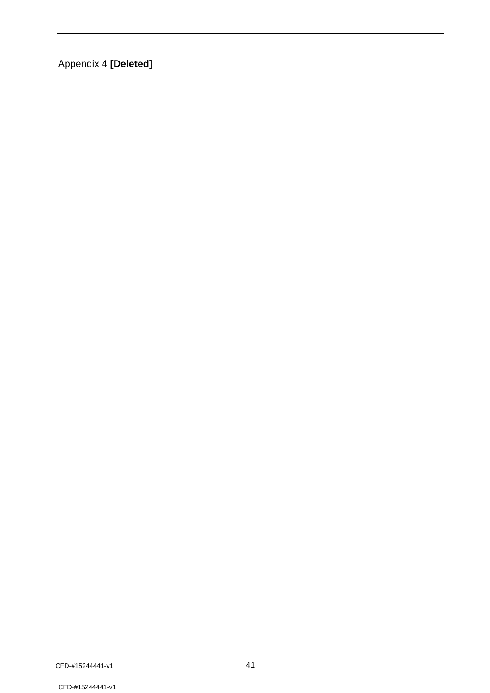<span id="page-43-0"></span>Appendix 4 **[Deleted]**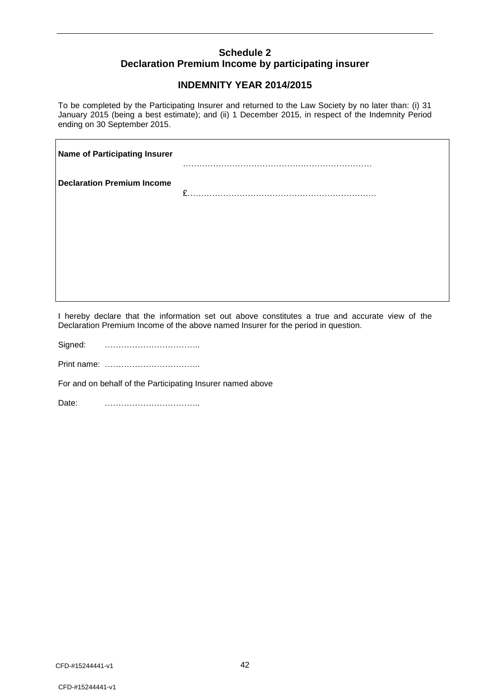### **Schedule 2 Declaration Premium Income by participating insurer**

### **INDEMNITY YEAR 2014/2015**

<span id="page-44-0"></span>To be completed by the Participating Insurer and returned to the Law Society by no later than: (i) 31 January 2015 (being a best estimate); and (ii) 1 December 2015, in respect of the Indemnity Period ending on 30 September 2015.

| Name of Participating Insurer     |         |
|-----------------------------------|---------|
| <b>Declaration Premium Income</b> | £.<br>. |
|                                   |         |
|                                   |         |
|                                   |         |

I hereby declare that the information set out above constitutes a true and accurate view of the Declaration Premium Income of the above named Insurer for the period in question.

Signed: ……………………………..

Print name: ……………………………..

For and on behalf of the Participating Insurer named above

Date: ……………………………..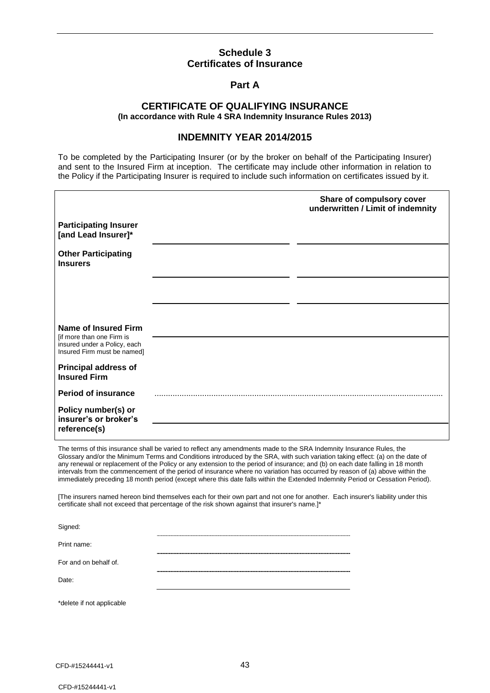### **Schedule 3 Certificates of Insurance**

### **Part A**

#### <span id="page-45-0"></span>**CERTIFICATE OF QUALIFYING INSURANCE (In accordance with [Rule 4](#page-22-2) SRA Indemnity Insurance Rules 2013)**

### **INDEMNITY YEAR 2014/2015**

To be completed by the Participating Insurer (or by the broker on behalf of the Participating Insurer) and sent to the Insured Firm at inception. The certificate may include other information in relation to the Policy if the Participating Insurer is required to include such information on certificates issued by it.

|                                                             | Share of compulsory cover<br>underwritten / Limit of indemnity |
|-------------------------------------------------------------|----------------------------------------------------------------|
| <b>Participating Insurer</b><br>[and Lead Insurer]*         |                                                                |
| <b>Other Participating</b><br><b>Insurers</b>               |                                                                |
|                                                             |                                                                |
|                                                             |                                                                |
| <b>Name of Insured Firm</b><br>[if more than one Firm is    |                                                                |
| insured under a Policy, each<br>Insured Firm must be named] |                                                                |
| <b>Principal address of</b><br><b>Insured Firm</b>          |                                                                |
| <b>Period of insurance</b>                                  |                                                                |
| Policy number(s) or<br>insurer's or broker's                |                                                                |
| reference(s)                                                |                                                                |

The terms of this insurance shall be varied to reflect any amendments made to the SRA Indemnity Insurance Rules, the Glossary and/or the Minimum Terms and Conditions introduced by the SRA, with such variation taking effect: (a) on the date of any renewal or replacement of the Policy or any extension to the period of insurance; and (b) on each date falling in 18 month intervals from the commencement of the period of insurance where no variation has occurred by reason of (a) above within the immediately preceding 18 month period (except where this date falls within the Extended Indemnity Period or Cessation Period).

[The insurers named hereon bind themselves each for their own part and not one for another. Each insurer's liability under this certificate shall not exceed that percentage of the risk shown against that insurer's name.]\*

| Signed:               |  |
|-----------------------|--|
| Print name:           |  |
| For and on behalf of. |  |
| Date:                 |  |

\*delete if not applicable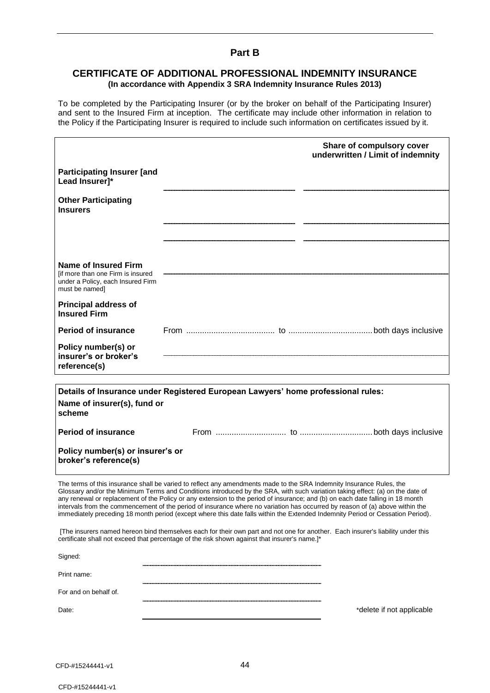### **Part B**

### **CERTIFICATE OF ADDITIONAL PROFESSIONAL INDEMNITY INSURANCE (In accordance with [Appendix 3](#page-41-0) SRA Indemnity Insurance Rules 2013)**

To be completed by the Participating Insurer (or by the broker on behalf of the Participating Insurer) and sent to the Insured Firm at inception. The certificate may include other information in relation to the Policy if the Participating Insurer is required to include such information on certificates issued by it.

|                                                                                                                         |                                                                                                                                                                                                                                                                                                                                                                                         | Share of compulsory cover<br>underwritten / Limit of indemnity |
|-------------------------------------------------------------------------------------------------------------------------|-----------------------------------------------------------------------------------------------------------------------------------------------------------------------------------------------------------------------------------------------------------------------------------------------------------------------------------------------------------------------------------------|----------------------------------------------------------------|
| <b>Participating Insurer [and</b><br>Lead Insurer]*                                                                     |                                                                                                                                                                                                                                                                                                                                                                                         |                                                                |
| <b>Other Participating</b><br><b>Insurers</b>                                                                           |                                                                                                                                                                                                                                                                                                                                                                                         |                                                                |
|                                                                                                                         |                                                                                                                                                                                                                                                                                                                                                                                         |                                                                |
|                                                                                                                         |                                                                                                                                                                                                                                                                                                                                                                                         |                                                                |
| <b>Name of Insured Firm</b><br>[if more than one Firm is insured<br>under a Policy, each Insured Firm<br>must be named] |                                                                                                                                                                                                                                                                                                                                                                                         |                                                                |
| <b>Principal address of</b><br><b>Insured Firm</b>                                                                      |                                                                                                                                                                                                                                                                                                                                                                                         |                                                                |
| <b>Period of insurance</b>                                                                                              |                                                                                                                                                                                                                                                                                                                                                                                         |                                                                |
| Policy number(s) or<br>insurer's or broker's                                                                            |                                                                                                                                                                                                                                                                                                                                                                                         |                                                                |
| reference(s)                                                                                                            |                                                                                                                                                                                                                                                                                                                                                                                         |                                                                |
|                                                                                                                         |                                                                                                                                                                                                                                                                                                                                                                                         |                                                                |
|                                                                                                                         | Details of Insurance under Registered European Lawyers' home professional rules:                                                                                                                                                                                                                                                                                                        |                                                                |
| Name of insurer(s), fund or<br>scheme                                                                                   |                                                                                                                                                                                                                                                                                                                                                                                         |                                                                |
| <b>Period of insurance</b>                                                                                              |                                                                                                                                                                                                                                                                                                                                                                                         |                                                                |
| Policy number(s) or insurer's or<br>broker's reference(s)                                                               |                                                                                                                                                                                                                                                                                                                                                                                         |                                                                |
|                                                                                                                         | The terms of this insurance shall be varied to reflect any amendments made to the SRA Indemnity Insurance Rules, the<br>Glossary and/or the Minimum Terms and Conditions introduced by the SRA, with such variation taking effect: (a) on the date of<br>any renewal or replacement of the Policy or any extension to the period of insurance: and (b) on each date falling in 18 month |                                                                |

any renewal or replacement of the Policy or any extension to the period of insurance; and (b) on each date falling in 18 month intervals from the commencement of the period of insurance where no variation has occurred by reason of (a) above within the immediately preceding 18 month period (except where this date falls within the Extended Indemnity Period or Cessation Period).

[The insurers named hereon bind themselves each for their own part and not one for another. Each insurer's liability under this certificate shall not exceed that percentage of the risk shown against that insurer's name.]\*

| *delete if not applicable |
|---------------------------|
|                           |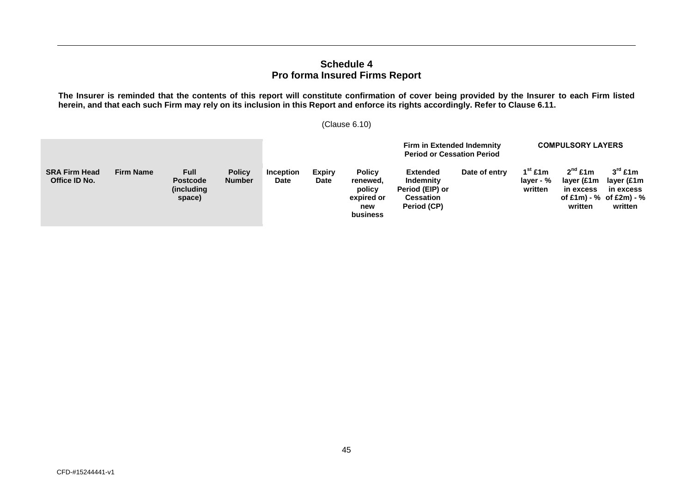### **Schedule 4 Pro forma Insured Firms Report**

**The Insurer is reminded that the contents of this report will constitute confirmation of cover being provided by the Insurer to each Firm listed herein, and that each such Firm may rely on its inclusion in this Report and enforce its rights accordingly. Refer to Clause 6.11.** 

<span id="page-47-0"></span>

|                                       |                  |                                                        |                                |                                 |                              | (Clause 6.10)                                                        |                                                                                    |               |                                   |                                                    |                                                                                          |
|---------------------------------------|------------------|--------------------------------------------------------|--------------------------------|---------------------------------|------------------------------|----------------------------------------------------------------------|------------------------------------------------------------------------------------|---------------|-----------------------------------|----------------------------------------------------|------------------------------------------------------------------------------------------|
|                                       |                  |                                                        |                                |                                 |                              |                                                                      | Firm in Extended Indemnity<br><b>Period or Cessation Period</b>                    |               |                                   | <b>COMPULSORY LAYERS</b>                           |                                                                                          |
| <b>SRA Firm Head</b><br>Office ID No. | <b>Firm Name</b> | <b>Full</b><br><b>Postcode</b><br>(including<br>space) | <b>Policy</b><br><b>Number</b> | <b>Inception</b><br><b>Date</b> | <b>Expiry</b><br><b>Date</b> | <b>Policy</b><br>renewed,<br>policy<br>expired or<br>new<br>business | <b>Extended</b><br>Indemnity<br>Period (EIP) or<br><b>Cessation</b><br>Period (CP) | Date of entry | $1st$ £1m<br>layer - %<br>written | $2^{nd}$ £1m<br>layer (£1m<br>in excess<br>written | $3^{\text{rd}}$ £1m<br>layer (£1m<br>in excess<br>of $£1m) - %$ of $£2m) - %$<br>written |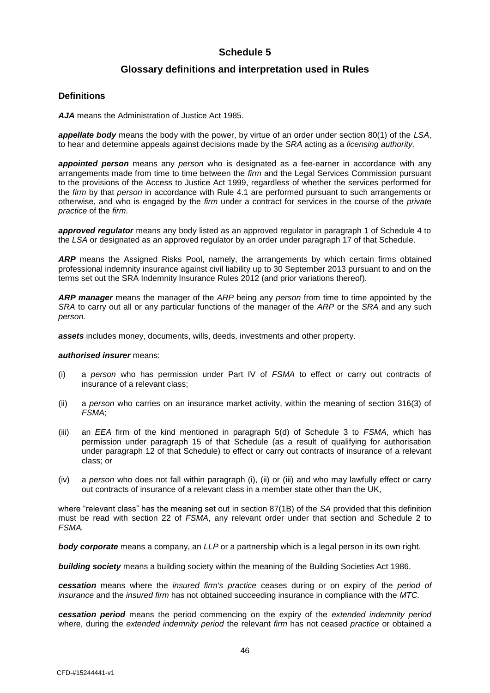### **Schedule 5**

### **Glossary definitions and interpretation used in Rules**

### <span id="page-48-0"></span>**Definitions**

*AJA* means the Administration of Justice Act 1985.

*appellate body* means the body with the power, by virtue of an order under section 80(1) of the *LSA*, to hear and determine appeals against decisions made by the *SRA* acting as a *licensing authority.*

*appointed person* means any *person* who is designated as a fee-earner in accordance with any arrangements made from time to time between the *firm* and the Legal Services Commission pursuant to the provisions of the Access to Justice Act 1999, regardless of whether the services performed for the *firm* by that *person* in accordance with Rule [4.1](#page-22-5) are performed pursuant to such arrangements or otherwise, and who is engaged by the *firm* under a contract for services in the course of the *privat*e *practice* of the *firm.*

*approved regulator* means any body listed as an approved regulator in paragraph 1 of Schedule 4 to the *LSA* or designated as an approved regulator by an order under paragraph 17 of that Schedule.

*ARP* means the Assigned Risks Pool, namely, the arrangements by which certain firms obtained professional indemnity insurance against civil liability up to 30 September 2013 pursuant to and on the terms set out the SRA Indemnity Insurance Rules 2012 (and prior variations thereof)*.*

*ARP manager* means the manager of the *ARP* being any *person* from time to time appointed by the *SRA* to carry out all or any particular functions of the manager of the *ARP* or the *SRA* and any such *person.*

*assets* includes money, documents, wills, deeds, investments and other property.

#### *authorised insurer* means:

- (i) a *person* who has permission under Part IV of *FSMA* to effect or carry out contracts of insurance of a relevant class;
- (ii) a *person* who carries on an insurance market activity, within the meaning of section 316(3) of *FSMA*;
- (iii) an *EEA* firm of the kind mentioned in paragraph 5(d) of Schedule 3 to *FSMA*, which has permission under paragraph 15 of that Schedule (as a result of qualifying for authorisation under paragraph 12 of that Schedule) to effect or carry out contracts of insurance of a relevant class; or
- (iv) a *person* who does not fall within paragraph (i), (ii) or (iii) and who may lawfully effect or carry out contracts of insurance of a relevant class in a member state other than the UK,

where "relevant class" has the meaning set out in section 87(1B) of the *SA* provided that this definition must be read with section 22 of *FSMA*, any relevant order under that section and Schedule 2 to *FSMA.*

*body corporate* means a company, an *LLP* or a partnership which is a legal person in its own right.

**building society** means a building society within the meaning of the Building Societies Act 1986.

*cessation* means where the *insured firm's practice* ceases during or on expiry of the *period of insurance* and the *insured firm* has not obtained succeeding insurance in compliance with the *MTC.*

*cessation period* means the period commencing on the expiry of the *extended indemnity period* where, during the *extended indemnity period* the relevant *firm* has not ceased *practice* or obtained a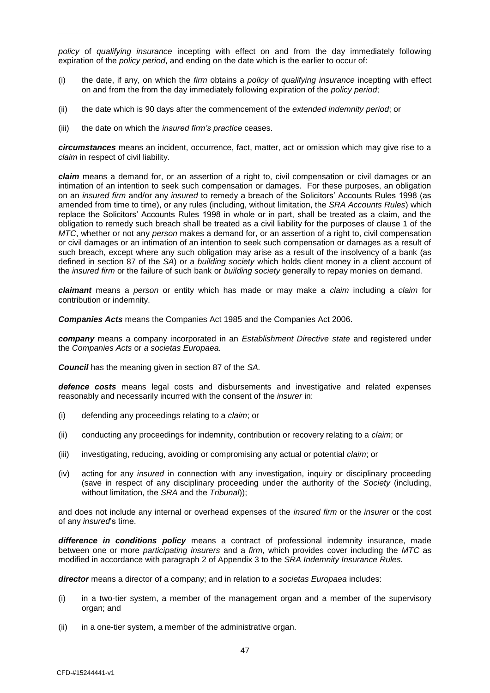*policy* of *qualifying insurance* incepting with effect on and from the day immediately following expiration of the *policy period*, and ending on the date which is the earlier to occur of:

- (i) the date, if any, on which the *firm* obtains a *policy* of *qualifying insurance* incepting with effect on and from the from the day immediately following expiration of the *policy period*;
- (ii) the date which is 90 days after the commencement of the *extended indemnity period*; or
- (iii) the date on which the *insured firm"s practice* ceases.

*circumstances* means an incident, occurrence, fact, matter, act or omission which may give rise to a *claim* in respect of civil liability.

*claim* means a demand for, or an assertion of a right to, civil compensation or civil damages or an intimation of an intention to seek such compensation or damages. For these purposes, an obligation on an *insured firm* and/or any *insured* to remedy a breach of the Solicitors" Accounts Rules 1998 (as amended from time to time), or any rules (including, without limitation, the *SRA Accounts Rules*) which replace the Solicitors" Accounts Rules 1998 in whole or in part, shall be treated as a claim, and the obligation to remedy such breach shall be treated as a civil liability for the purposes of clause 1 of the *MTC*, whether or not any *person* makes a demand for, or an assertion of a right to, civil compensation or civil damages or an intimation of an intention to seek such compensation or damages as a result of such breach, except where any such obligation may arise as a result of the insolvency of a bank (as defined in section 87 of the *SA*) or a *building society* which holds client money in a client account of the *insured firm* or the failure of such bank or *building society* generally to repay monies on demand.

*claimant* means a *person* or entity which has made or may make a *claim* including a *claim* for contribution or indemnity.

*Companies Acts* means the Companies Act 1985 and the Companies Act 2006.

*company* means a company incorporated in an *Establishment Directive state* and registered under the *Companies Acts* or *a societas Europaea.*

*Council* has the meaning given in section 87 of the *SA.*

*defence costs* means legal costs and disbursements and investigative and related expenses reasonably and necessarily incurred with the consent of the *insurer* in:

- (i) defending any proceedings relating to a *claim*; or
- (ii) conducting any proceedings for indemnity, contribution or recovery relating to a *claim*; or
- (iii) investigating, reducing, avoiding or compromising any actual or potential *claim*; or
- (iv) acting for any *insured* in connection with any investigation, inquiry or disciplinary proceeding (save in respect of any disciplinary proceeding under the authority of the *Society* (including, without limitation, the *SRA* and the *Tribunal*));

and does not include any internal or overhead expenses of the *insured firm* or the *insurer* or the cost of any *insured*'s time.

*difference in conditions policy* means a contract of professional indemnity insurance, made between one or more *participating insurers* and a *firm*, which provides cover including the *MTC* as modified in accordance with paragraph 2 of [Appendix 3](#page-41-0) to the *SRA Indemnity Insurance Rules.*

*director* means a director of a company; and in relation to *a societas Europaea* includes:

- (i) in a two-tier system, a member of the management organ and a member of the supervisory organ; and
- (ii) in a one-tier system, a member of the administrative organ.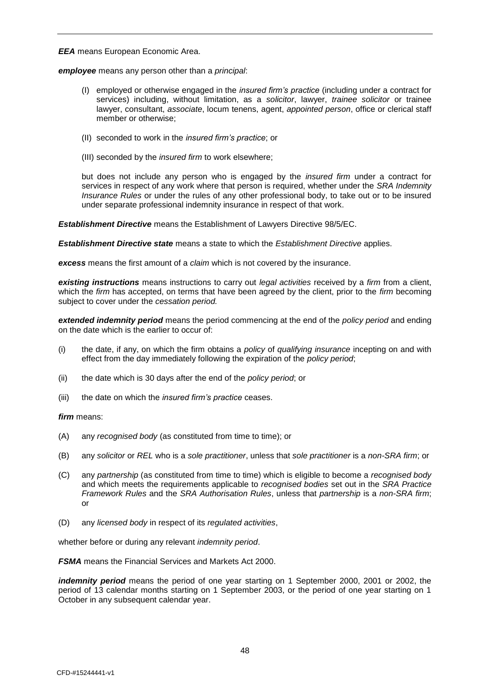#### *EEA* means European Economic Area.

*employee* means any person other than a *principal*:

- (I) employed or otherwise engaged in the *insured firm"s practice* (including under a contract for services) including, without limitation, as a *solicitor*, lawyer, *trainee solicitor* or trainee lawyer, consultant, *associate*, locum tenens, agent, *appointed person*, office or clerical staff member or otherwise;
- (II) seconded to work in the *insured firm"s practice*; or
- (III) seconded by the *insured firm* to work elsewhere;

but does not include any person who is engaged by the *insured firm* under a contract for services in respect of any work where that person is required, whether under the *SRA Indemnity Insurance Rules* or under the rules of any other professional body, to take out or to be insured under separate professional indemnity insurance in respect of that work.

*Establishment Directive* means the Establishment of Lawyers Directive 98/5/EC.

*Establishment Directive state* means a state to which the *Establishment Directive* applies.

*excess* means the first amount of a *claim* which is not covered by the insurance.

*existing instructions* means instructions to carry out *legal activities* received by a *firm* from a client, which the *firm* has accepted, on terms that have been agreed by the client, prior to the *firm* becoming subject to cover under the *cessation period.*

*extended indemnity period* means the period commencing at the end of the *policy period* and ending on the date which is the earlier to occur of:

- (i) the date, if any, on which the firm obtains a *policy* of *qualifying insurance* incepting on and with effect from the day immediately following the expiration of the *policy period*;
- (ii) the date which is 30 days after the end of the *policy period*; or
- (iii) the date on which the *insured firm"s practice* ceases.

#### *firm* means:

- (A) any *recognised body* (as constituted from time to time); or
- (B) any *solicitor* or *REL* who is a *sole practitioner*, unless that *sole practitioner* is a *non-SRA firm*; or
- (C) any *partnership* (as constituted from time to time) which is eligible to become a *recognised body* and which meets the requirements applicable to *recognised bodies* set out in the *SRA Practice Framework Rules* and the *SRA Authorisation Rules*, unless that *partnership* is a *non-SRA firm*; or
- (D) any *licensed body* in respect of its *regulated activities*,

whether before or during any relevant *indemnity period*.

**FSMA** means the Financial Services and Markets Act 2000.

*indemnity period* means the period of one year starting on 1 September 2000, 2001 or 2002, the period of 13 calendar months starting on 1 September 2003, or the period of one year starting on 1 October in any subsequent calendar year.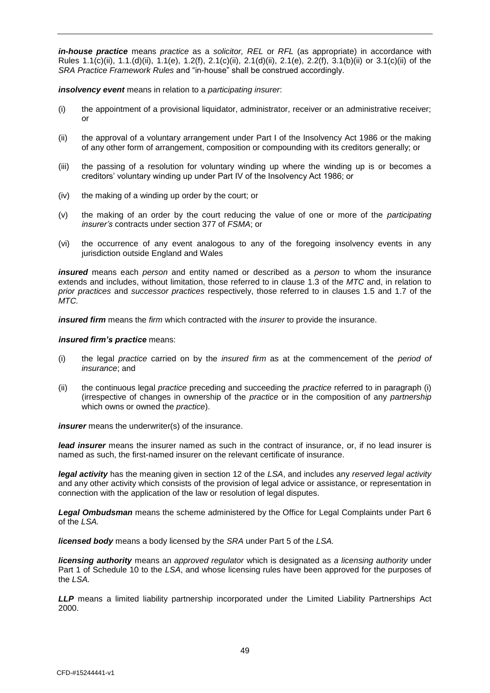*in-house practice* means *practice* as a *solicitor, REL* or *RFL* (as appropriate) in accordance with Rules  $1.1(c)$ (ii),  $1.1(d)$ (ii),  $1.1(e)$ ,  $1.2(f)$ ,  $2.1(c)$ (ii),  $2.1(d)$ (ii),  $2.1(e)$ ,  $2.2(f)$ ,  $3.1(b)$ (ii) or  $3.1(c)$ (ii) of the *SRA Practice Framework Rules* and "in-house" shall be construed accordingly.

*insolvency event* means in relation to a *participating insurer*:

- (i) the appointment of a provisional liquidator, administrator, receiver or an administrative receiver; or
- (ii) the approval of a voluntary arrangement under Part I of the Insolvency Act 1986 or the making of any other form of arrangement, composition or compounding with its creditors generally; or
- (iii) the passing of a resolution for voluntary winding up where the winding up is or becomes a creditors" voluntary winding up under Part IV of the Insolvency Act 1986; or
- (iv) the making of a winding up order by the court; or
- (v) the making of an order by the court reducing the value of one or more of the *participating insurer"s* contracts under section 377 of *FSMA*; or
- (vi) the occurrence of any event analogous to any of the foregoing insolvency events in any jurisdiction outside England and Wales

*insured* means each *person* and entity named or described as a *person* to whom the insurance extends and includes, without limitation, those referred to in clause 1.3 of the *MTC* and, in relation to *prior practices* and *successor practices* respectively, those referred to in clauses 1.5 and 1.7 of the *MTC.*

*insured firm* means the *firm* which contracted with the *insurer* to provide the insurance.

#### *insured firm's practice* means:

- (i) the legal *practice* carried on by the *insured firm* as at the commencement of the *period of insurance*; and
- (ii) the continuous legal *practice* preceding and succeeding the *practice* referred to in paragraph (i) (irrespective of changes in ownership of the *practice* or in the composition of any *partnership* which owns or owned the *practice*).

*insurer* means the underwriter(s) of the insurance.

*lead insurer* means the insurer named as such in the contract of insurance, or, if no lead insurer is named as such, the first-named insurer on the relevant certificate of insurance.

*legal activity* has the meaning given in section 12 of the *LSA*, and includes any *reserved legal activity*  and any other activity which consists of the provision of legal advice or assistance, or representation in connection with the application of the law or resolution of legal disputes.

*Legal Ombudsman* means the scheme administered by the Office for Legal Complaints under Part 6 of the *LSA.*

*licensed body* means a body licensed by the *SRA* under Part 5 of the *LSA.*

*licensing authority* means an *approved regulator* which is designated as *a licensing authority* under Part 1 of Schedule 10 to the *LSA*, and whose licensing rules have been approved for the purposes of the *LSA.*

*LLP* means a limited liability partnership incorporated under the Limited Liability Partnerships Act 2000.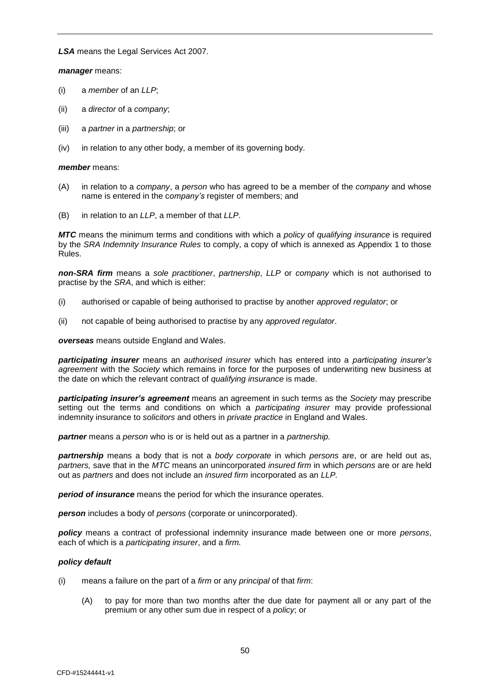*LSA* means the Legal Services Act 2007.

#### *manager* means:

- (i) a *member* of an *LLP*;
- (ii) a *director* of a *company*;
- (iii) a *partner* in a *partnership*; or
- (iv) in relation to any other body, a member of its governing body.

#### *member* means:

- (A) in relation to a *company*, a *person* who has agreed to be a member of the *company* and whose name is entered in the c*ompany"s* register of members; and
- (B) in relation to an *LLP*, a member of that *LLP*.

*MTC* means the minimum terms and conditions with which a *policy* of *qualifying insurance* is required by the *SRA Indemnity Insurance Rules* to comply, a copy of which is annexed as Appendix 1 to those Rules.

*non-SRA firm* means a *sole practitioner*, *partnership*, *LLP* or *company* which is not authorised to practise by the *SRA*, and which is either:

- (i) authorised or capable of being authorised to practise by another *approved regulator*; or
- (ii) not capable of being authorised to practise by any *approved regulator*.

*overseas* means outside England and Wales.

*participating insurer* means an *authorised insurer* which has entered into a *participating insurer"s agreement* with the *Society* which remains in force for the purposes of underwriting new business at the date on which the relevant contract of *qualifying insurance* is made.

*participating insurer's agreement* means an agreement in such terms as the *Society* may prescribe setting out the terms and conditions on which a *participating insurer* may provide professional indemnity insurance to *solicitors* and others in *private practice* in England and Wales.

*partner* means a *person* who is or is held out as a partner in a *partnership.*

*partnership* means a body that is not a *body corporate* in which *persons* are, or are held out as, *partners,* save that in the *MTC* means an unincorporated *insured firm* in which *persons* are or are held out as *partners* and does not include an *insured firm* incorporated as an *LLP.*

*period of insurance* means the period for which the insurance operates.

*person* includes a body of *persons* (corporate or unincorporated).

*policy* means a contract of professional indemnity insurance made between one or more *persons*, each of which is a *participating insurer*, and a *firm.*

#### *policy default*

- (i) means a failure on the part of a *firm* or any *principal* of that *firm*:
	- (A) to pay for more than two months after the due date for payment all or any part of the premium or any other sum due in respect of a *policy*; or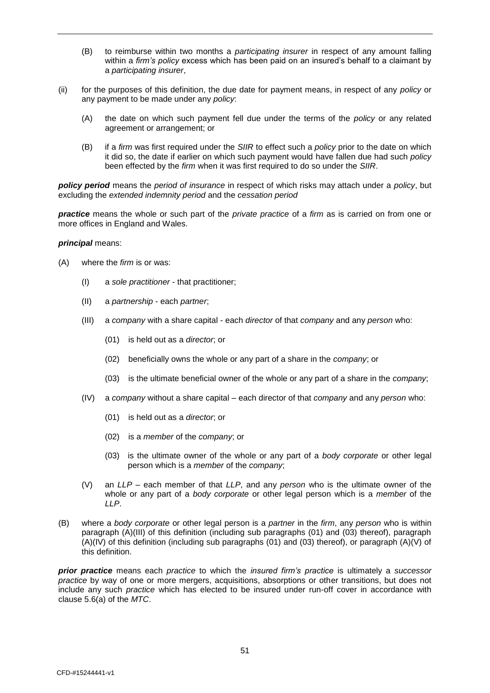- (B) to reimburse within two months a *participating insurer* in respect of any amount falling within a *firm"s policy* excess which has been paid on an insured"s behalf to a claimant by a *participating insurer*,
- (ii) for the purposes of this definition, the due date for payment means, in respect of any *policy* or any payment to be made under any *policy*:
	- (A) the date on which such payment fell due under the terms of the *policy* or any related agreement or arrangement; or
	- (B) if a *firm* was first required under the *SIIR* to effect such a *policy* prior to the date on which it did so, the date if earlier on which such payment would have fallen due had such *policy* been effected by the *firm* when it was first required to do so under the *SIIR*.

*policy period* means the *period of insurance* in respect of which risks may attach under a *policy*, but excluding the *extended indemnity period* and the *cessation period*

*practice* means the whole or such part of the *private practice* of a *firm* as is carried on from one or more offices in England and Wales.

#### *principal* means:

- (A) where the *firm* is or was:
	- (I) a *sole practitioner* that practitioner;
	- (II) a *partnership* each *partner*;
	- (III) a *company* with a share capital each *director* of that *company* and any *person* who:
		- (01) is held out as a *director*; or
		- (02) beneficially owns the whole or any part of a share in the *company*; or
		- (03) is the ultimate beneficial owner of the whole or any part of a share in the *company*;
	- (IV) a *company* without a share capital each director of that *company* and any *person* who:
		- (01) is held out as a *director*; or
		- (02) is a *member* of the *company*; or
		- (03) is the ultimate owner of the whole or any part of a *body corporate* or other legal person which is a *member* of the *company*;
	- (V) an *LLP*  each member of that *LLP*, and any *person* who is the ultimate owner of the whole or any part of a *body corporate* or other legal person which is a *member* of the *LLP*.
- (B) where a *body corporate* or other legal person is a *partner* in the *firm*, any *person* who is within paragraph (A)(III) of this definition (including sub paragraphs (01) and (03) thereof), paragraph (A)(IV) of this definition (including sub paragraphs (01) and (03) thereof), or paragraph (A)(V) of this definition.

*prior practice* means each *practice* to which the *insured firm"s practice* is ultimately a *successor practice* by way of one or more mergers, acquisitions, absorptions or other transitions, but does not include any such *practice* which has elected to be insured under run-off cover in accordance with clause 5.6(a) of the *MTC*.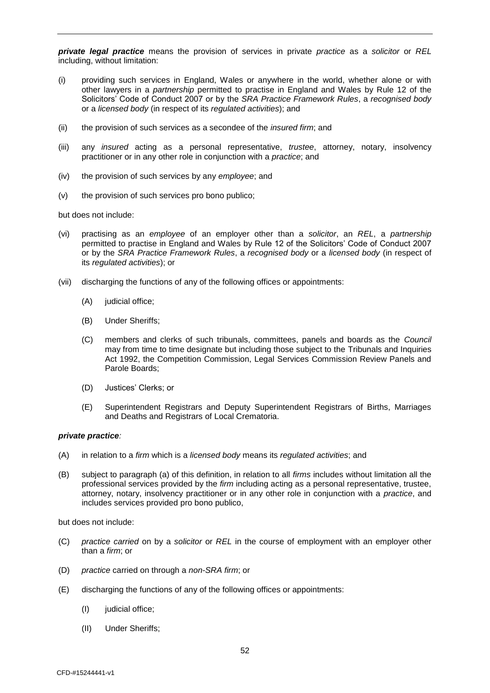*private legal practice* means the provision of services in private *practice* as a *solicitor* or *REL* including, without limitation:

- (i) providing such services in England, Wales or anywhere in the world, whether alone or with other lawyers in a *partnership* permitted to practise in England and Wales by Rule 12 of the Solicitors" Code of Conduct 2007 or by the *SRA Practice Framework Rules*, a *recognised body*  or a *licensed body* (in respect of its *regulated activities*); and
- (ii) the provision of such services as a secondee of the *insured firm*; and
- (iii) any *insured* acting as a personal representative, *trustee*, attorney, notary, insolvency practitioner or in any other role in conjunction with a *practice*; and
- (iv) the provision of such services by any *employee*; and
- (v) the provision of such services pro bono publico;

but does not include:

- (vi) practising as an *employee* of an employer other than a *solicitor*, an *REL*, a *partnership* permitted to practise in England and Wales by Rule 12 of the Solicitors" Code of Conduct 2007 or by the *SRA Practice Framework Rules*, a *recognised body* or a *licensed body* (in respect of its *regulated activities*); or
- (vii) discharging the functions of any of the following offices or appointments:
	- (A) judicial office;
	- (B) Under Sheriffs;
	- (C) members and clerks of such tribunals, committees, panels and boards as the *Council* may from time to time designate but including those subject to the Tribunals and Inquiries Act 1992, the Competition Commission, Legal Services Commission Review Panels and Parole Boards;
	- (D) Justices" Clerks; or
	- (E) Superintendent Registrars and Deputy Superintendent Registrars of Births, Marriages and Deaths and Registrars of Local Crematoria.

#### *private practice:*

- (A) in relation to a *firm* which is a *licensed body* means its *regulated activities*; and
- (B) subject to paragraph (a) of this definition, in relation to all *firms* includes without limitation all the professional services provided by the *firm* including acting as a personal representative, trustee, attorney, notary, insolvency practitioner or in any other role in conjunction with a *practice*, and includes services provided pro bono publico,

but does not include:

- (C) *practice carried* on by a *solicitor* or *REL* in the course of employment with an employer other than a *firm*; or
- (D) *practice* carried on through a *non-SRA firm*; or
- (E) discharging the functions of any of the following offices or appointments:
	- (I) judicial office;
	- (II) Under Sheriffs;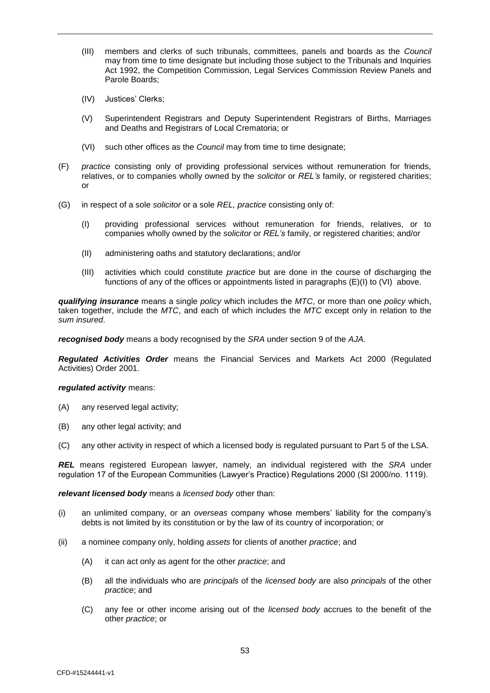- (III) members and clerks of such tribunals, committees, panels and boards as the *Council*  may from time to time designate but including those subject to the Tribunals and Inquiries Act 1992, the Competition Commission, Legal Services Commission Review Panels and Parole Boards;
- (IV) Justices" Clerks;
- (V) Superintendent Registrars and Deputy Superintendent Registrars of Births, Marriages and Deaths and Registrars of Local Crematoria; or
- (VI) such other offices as the *Council* may from time to time designate;
- (F) *practice* consisting only of providing professional services without remuneration for friends, relatives, or to companies wholly owned by the *solicitor* or *REL"s* family, or registered charities; or
- (G) in respect of a sole *solicitor* or a sole *REL, practice* consisting only of:
	- (I) providing professional services without remuneration for friends, relatives, or to companies wholly owned by the *solicitor* or *REL"s* family, or registered charities; and/or
	- (II) administering oaths and statutory declarations; and/or
	- (III) activities which could constitute *practice* but are done in the course of discharging the functions of any of the offices or appointments listed in paragraphs (E)(I) to (VI) above.

*qualifying insurance* means a single *policy* which includes the *MTC*, or more than one *policy* which, taken together, include the *MTC*, and each of which includes the *MTC* except only in relation to the *sum insured*.

*recognised body* means a body recognised by the *SRA* under section 9 of the *AJA*.

*Regulated Activities Order* means the Financial Services and Markets Act 2000 (Regulated Activities) Order 2001.

#### *regulated activity* means:

- (A) any reserved legal activity;
- (B) any other legal activity; and
- (C) any other activity in respect of which a licensed body is regulated pursuant to Part 5 of the LSA.

*REL* means registered European lawyer, namely, an individual registered with the *SRA* under regulation 17 of the European Communities (Lawyer"s Practice) Regulations 2000 (SI 2000/no. 1119).

*relevant licensed body* means a *licensed body* other than:

- (i) an unlimited company, or an *overseas* company whose members" liability for the company"s debts is not limited by its constitution or by the law of its country of incorporation; or
- (ii) a nominee company only, holding *assets* for clients of another *practice*; and
	- (A) it can act only as agent for the other *practice*; and
	- (B) all the individuals who are *principals* of the *licensed body* are also *principals* of the other *practice*; and
	- (C) any fee or other income arising out of the *licensed body* accrues to the benefit of the other *practice*; or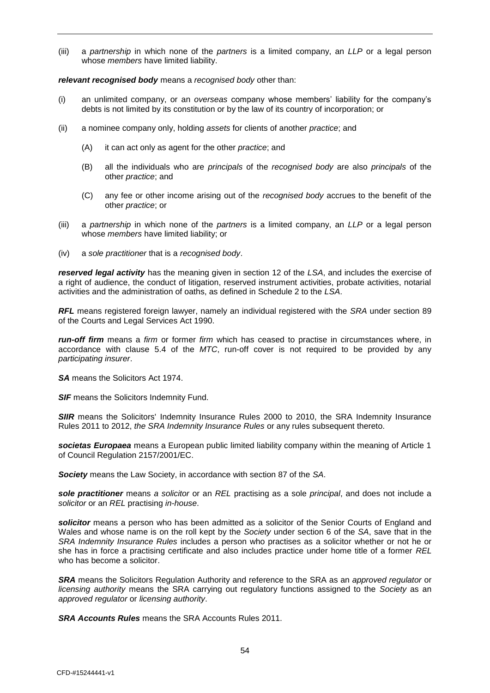(iii) a *partnership* in which none of the *partners* is a limited company, an *LLP* or a legal person whose *members* have limited liability.

*relevant recognised body* means a *recognised body* other than:

- (i) an unlimited company, or an *overseas* company whose members" liability for the company"s debts is not limited by its constitution or by the law of its country of incorporation; or
- (ii) a nominee company only, holding *assets* for clients of another *practice*; and
	- (A) it can act only as agent for the other *practice*; and
	- (B) all the individuals who are *principals* of the *recognised body* are also *principals* of the other *practice*; and
	- (C) any fee or other income arising out of the *recognised body* accrues to the benefit of the other *practice*; or
- (iii) a *partnership* in which none of the *partners* is a limited company, an *LLP* or a legal person whose *members* have limited liability; or
- (iv) a *sole practitioner* that is a *recognised body*.

*reserved legal activity* has the meaning given in section 12 of the *LSA*, and includes the exercise of a right of audience, the conduct of litigation, reserved instrument activities, probate activities, notarial activities and the administration of oaths, as defined in Schedule 2 to the *LSA*.

*RFL* means registered foreign lawyer, namely an individual registered with the *SRA* under section 89 of the Courts and Legal Services Act 1990.

*run-off firm* means a *firm* or former *firm* which has ceased to practise in circumstances where, in accordance with clause [5.4](#page-35-1) of the *MTC*, run-off cover is not required to be provided by any *participating insurer*.

*SA* means the Solicitors Act 1974.

**SIF** means the Solicitors Indemnity Fund.

**SIIR** means the Solicitors' Indemnity Insurance Rules 2000 to 2010, the SRA Indemnity Insurance Rules 2011 to 2012, *the SRA Indemnity Insurance Rules* or any rules subsequent thereto.

*societas Europaea* means a European public limited liability company within the meaning of Article 1 of Council Regulation 2157/2001/EC.

*Society* means the Law Society, in accordance with section 87 of the *SA*.

*sole practitioner* means *a solicitor* or an *REL* practising as a sole *principal*, and does not include a *solicitor* or an *REL* practising *in-house*.

*solicitor* means a person who has been admitted as a solicitor of the Senior Courts of England and Wales and whose name is on the roll kept by the *Society* under section 6 of the *SA*, save that in the *SRA Indemnity Insurance Rules* includes a person who practises as a solicitor whether or not he or she has in force a practising certificate and also includes practice under home title of a former *REL* who has become a solicitor.

*SRA* means the Solicitors Regulation Authority and reference to the SRA as an *approved regulator* or *licensing authority* means the SRA carrying out regulatory functions assigned to the *Society* as an *approved regulator* or *licensing authority*.

*SRA Accounts Rules* means the SRA Accounts Rules 2011.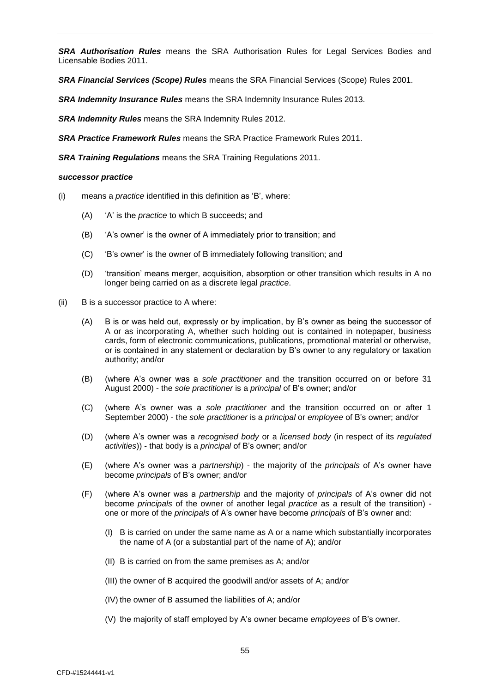*SRA Authorisation Rules* means the SRA Authorisation Rules for Legal Services Bodies and Licensable Bodies 2011.

*SRA Financial Services (Scope) Rules* means the SRA Financial Services (Scope) Rules 2001.

*SRA Indemnity Insurance Rules* means the SRA Indemnity Insurance Rules 2013.

*SRA Indemnity Rules* means the SRA Indemnity Rules 2012.

*SRA Practice Framework Rules* means the SRA Practice Framework Rules 2011.

*SRA Training Regulations* means the SRA Training Regulations 2011.

#### *successor practice*

- (i) means a *practice* identified in this definition as "B", where:
	- (A) "A" is the *practice* to which B succeeds; and
	- (B) "A"s owner" is the owner of A immediately prior to transition; and
	- (C) "B"s owner" is the owner of B immediately following transition; and
	- (D) "transition" means merger, acquisition, absorption or other transition which results in A no longer being carried on as a discrete legal *practice*.
- (ii) B is a successor practice to A where:
	- (A) B is or was held out, expressly or by implication, by B"s owner as being the successor of A or as incorporating A, whether such holding out is contained in notepaper, business cards, form of electronic communications, publications, promotional material or otherwise, or is contained in any statement or declaration by B"s owner to any regulatory or taxation authority; and/or
	- (B) (where A"s owner was a *sole practitioner* and the transition occurred on or before 31 August 2000) - the *sole practitioner* is a *principal* of B"s owner; and/or
	- (C) (where A"s owner was a *sole practitioner* and the transition occurred on or after 1 September 2000) - the *sole practitioner* is a *principal* or *employee* of B"s owner; and/or
	- (D) (where A"s owner was a *recognised body* or a *licensed body* (in respect of its *regulated activities*)) - that body is a *principal* of B"s owner; and/or
	- (E) (where A"s owner was a *partnership*) the majority of the *principals* of A"s owner have become *principals* of B"s owner; and/or
	- (F) (where A"s owner was a *partnership* and the majority of *principals* of A"s owner did not become *principals* of the owner of another legal *practice* as a result of the transition) one or more of the *principals* of A"s owner have become *principals* of B"s owner and:
		- (I) B is carried on under the same name as A or a name which substantially incorporates the name of A (or a substantial part of the name of A); and/or
		- (II) B is carried on from the same premises as A; and/or
		- (III) the owner of B acquired the goodwill and/or assets of A; and/or
		- (IV) the owner of B assumed the liabilities of A; and/or
		- (V) the majority of staff employed by A"s owner became *employees* of B"s owner.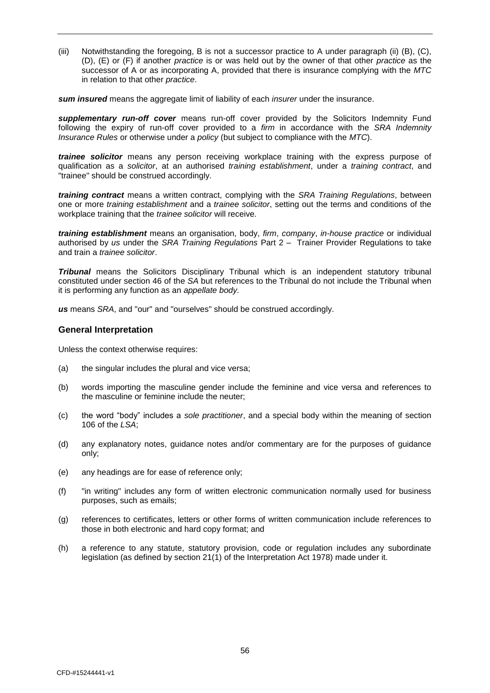(iii) Notwithstanding the foregoing, B is not a successor practice to A under paragraph (ii) (B), (C), (D), (E) or (F) if another *practice* is or was held out by the owner of that other *practice* as the successor of A or as incorporating A, provided that there is insurance complying with the *MTC* in relation to that other *practice*.

*sum insured* means the aggregate limit of liability of each *insurer* under the insurance.

*supplementary run-off cover* means run-off cover provided by the Solicitors Indemnity Fund following the expiry of run-off cover provided to a *firm* in accordance with the *SRA Indemnity Insurance Rules* or otherwise under a *policy* (but subject to compliance with the *MTC*).

*trainee solicitor* means any person receiving workplace training with the express purpose of qualification as a *solicitor*, at an authorised *training establishment*, under a *training contract*, and "trainee" should be construed accordingly.

*training contract* means a written contract, complying with the *SRA Training Regulations*, between one or more *training establishment* and a *trainee solicitor*, setting out the terms and conditions of the workplace training that the *trainee solicitor* will receive.

*training establishment* means an organisation, body, *firm*, *company*, *in-house practice* or individual authorised by *us* under the *SRA Training Regulations* Part 2 – Trainer Provider Regulations to take and train a *trainee solicitor*.

*Tribunal* means the Solicitors Disciplinary Tribunal which is an independent statutory tribunal constituted under section 46 of the *SA* but references to the Tribunal do not include the Tribunal when it is performing any function as an *appellate body.* 

*us* means *SRA*, and "our" and "ourselves" should be construed accordingly*.*

#### **General Interpretation**

Unless the context otherwise requires:

- (a) the singular includes the plural and vice versa;
- (b) words importing the masculine gender include the feminine and vice versa and references to the masculine or feminine include the neuter;
- (c) the word "body" includes a *sole practitioner*, and a special body within the meaning of section 106 of the *LSA*;
- (d) any explanatory notes, guidance notes and/or commentary are for the purposes of guidance only;
- (e) any headings are for ease of reference only;
- (f) "in writing" includes any form of written electronic communication normally used for business purposes, such as emails;
- (g) references to certificates, letters or other forms of written communication include references to those in both electronic and hard copy format; and
- (h) a reference to any statute, statutory provision, code or regulation includes any subordinate legislation (as defined by section 21(1) of the Interpretation Act 1978) made under it.